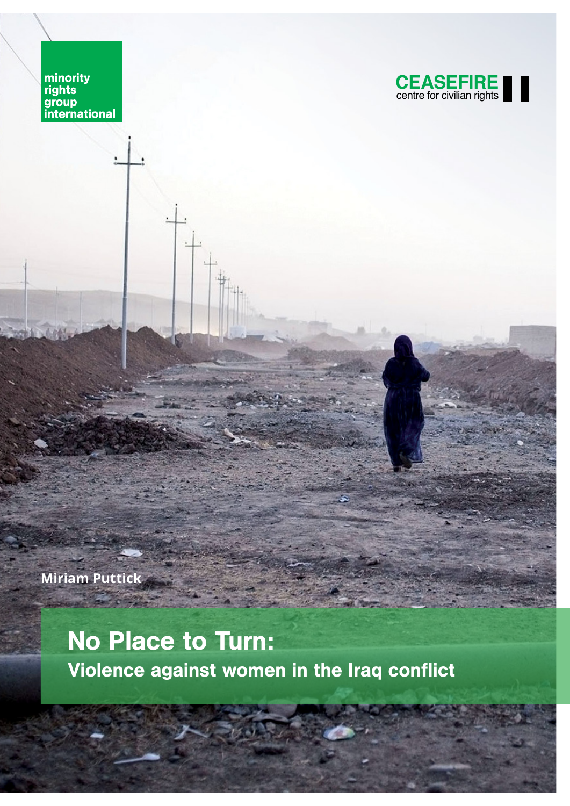minority<br>rights<br>group<br>international



**Miriam Puttick**

## No Place to Turn: Violence against women in the Iraq conflict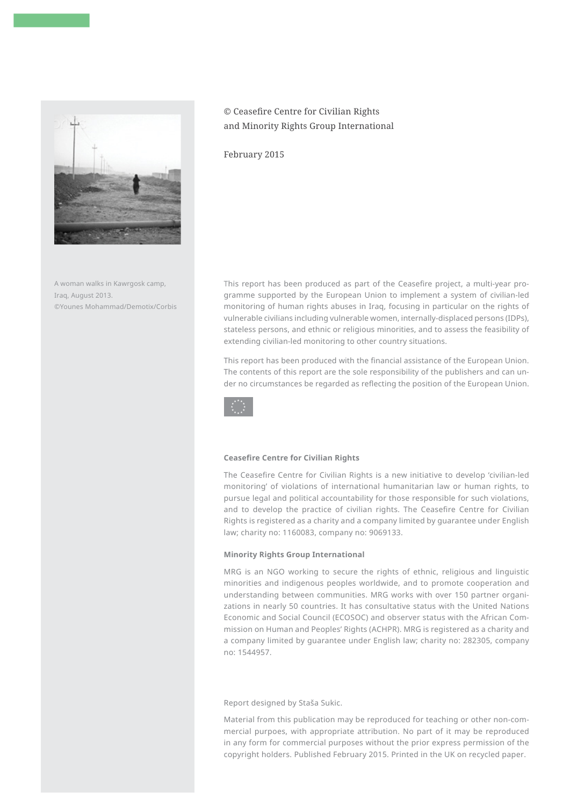

A woman walks in Kawrgosk camp, Iraq, August 2013. ©Younes Mohammad/Demotix/Corbis

## © Ceasefire Centre for Civilian Rights and Minority Rights Group International

February 2015

This report has been produced as part of the Ceasefire project, a multi-year programme supported by the European Union to implement a system of civilian-led monitoring of human rights abuses in Iraq, focusing in particular on the rights of vulnerable civilians including vulnerable women, internally-displaced persons (IDPs), stateless persons, and ethnic or religious minorities, and to assess the feasibility of extending civilian-led monitoring to other country situations.

This report has been produced with the financial assistance of the European Union. The contents of this report are the sole responsibility of the publishers and can under no circumstances be regarded as reflecting the position of the European Union.



#### **Ceasefire Centre for Civilian Rights**

The Ceasefire Centre for Civilian Rights is a new initiative to develop 'civilian-led monitoring' of violations of international humanitarian law or human rights, to pursue legal and political accountability for those responsible for such violations, and to develop the practice of civilian rights. The Ceasefire Centre for Civilian Rights is registered as a charity and a company limited by guarantee under English law; charity no: 1160083, company no: 9069133.

#### **Minority Rights Group International**

MRG is an NGO working to secure the rights of ethnic, religious and linguistic minorities and indigenous peoples worldwide, and to promote cooperation and understanding between communities. MRG works with over 150 partner organizations in nearly 50 countries. It has consultative status with the United Nations Economic and Social Council (ECOSOC) and observer status with the African Commission on Human and Peoples' Rights (ACHPR). MRG is registered as a charity and a company limited by guarantee under English law; charity no: 282305, company no: 1544957.

Report designed by Staša Sukic.

Material from this publication may be reproduced for teaching or other non-commercial purpoes, with appropriate attribution. No part of it may be reproduced in any form for commercial purposes without the prior express permission of the copyright holders. Published February 2015. Printed in the UK on recycled paper.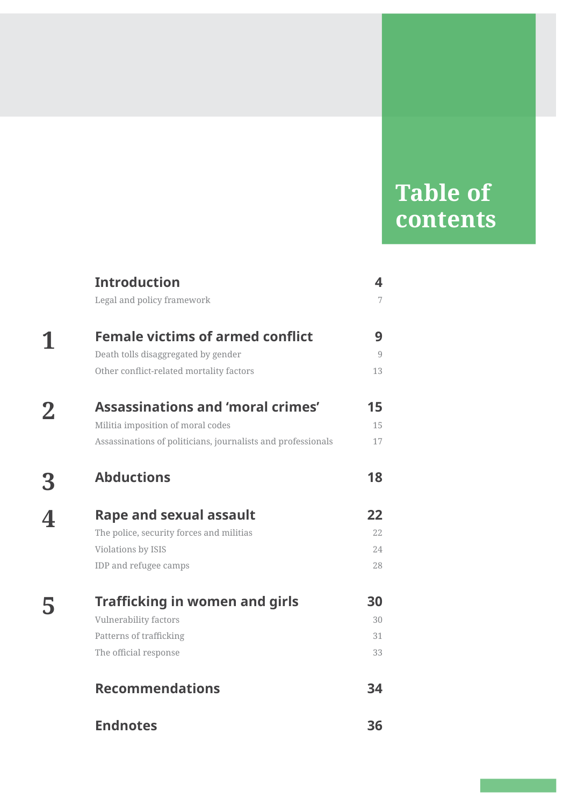## **Table of contents**

|          | <b>Introduction</b>                                          | 4              |
|----------|--------------------------------------------------------------|----------------|
|          | Legal and policy framework                                   | $\overline{7}$ |
| 1        | <b>Female victims of armed conflict</b>                      | 9              |
|          | Death tolls disaggregated by gender                          | $\overline{9}$ |
|          | Other conflict-related mortality factors                     | 13             |
| $\bf{2}$ | <b>Assassinations and 'moral crimes'</b>                     | 15             |
|          | Militia imposition of moral codes                            | 15             |
|          | Assassinations of politicians, journalists and professionals | 17             |
| 3        | <b>Abductions</b>                                            | 18             |
| 4        | <b>Rape and sexual assault</b>                               | 22             |
|          | The police, security forces and militias                     | 22             |
|          | Violations by ISIS                                           | 24             |
|          | IDP and refugee camps                                        | 28             |
| 5        | <b>Trafficking in women and girls</b>                        | 30             |
|          | Vulnerability factors                                        | 30             |
|          | Patterns of trafficking                                      | 31             |
|          | The official response                                        | 33             |
|          | <b>Recommendations</b>                                       | 34             |
|          | <b>Endnotes</b>                                              | 36             |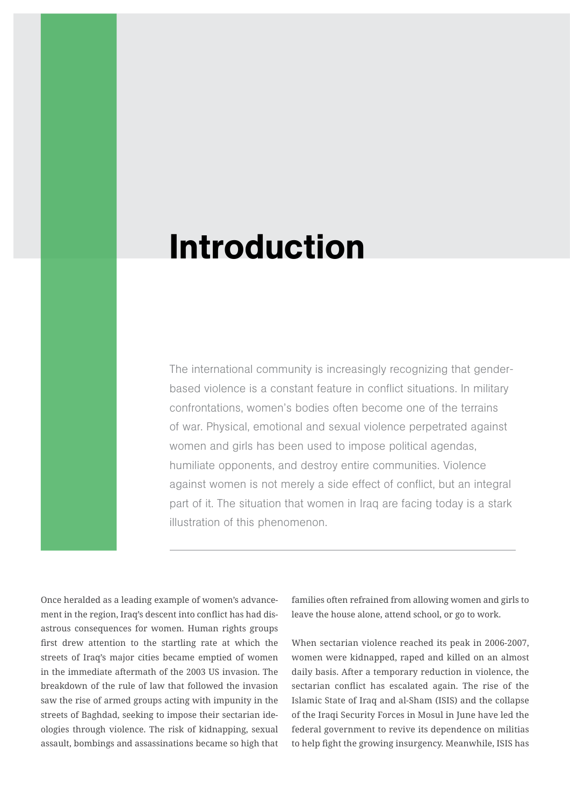## Introduction

The international community is increasingly recognizing that genderbased violence is a constant feature in conflict situations. In military confrontations, women's bodies often become one of the terrains of war. Physical, emotional and sexual violence perpetrated against women and girls has been used to impose political agendas, humiliate opponents, and destroy entire communities. Violence against women is not merely a side effect of conflict, but an integral part of it. The situation that women in Iraq are facing today is a stark illustration of this phenomenon.

Once heralded as a leading example of women's advancement in the region, Iraq's descent into conflict has had disastrous consequences for women. Human rights groups first drew attention to the startling rate at which the streets of Iraq's major cities became emptied of women in the immediate aftermath of the 2003 US invasion. The breakdown of the rule of law that followed the invasion saw the rise of armed groups acting with impunity in the streets of Baghdad, seeking to impose their sectarian ideologies through violence. The risk of kidnapping, sexual assault, bombings and assassinations became so high that

families often refrained from allowing women and girls to leave the house alone, attend school, or go to work.

When sectarian violence reached its peak in 2006-2007, women were kidnapped, raped and killed on an almost daily basis. After a temporary reduction in violence, the sectarian conflict has escalated again. The rise of the Islamic State of Iraq and al-Sham (ISIS) and the collapse of the Iraqi Security Forces in Mosul in June have led the federal government to revive its dependence on militias to help fight the growing insurgency. Meanwhile, ISIS has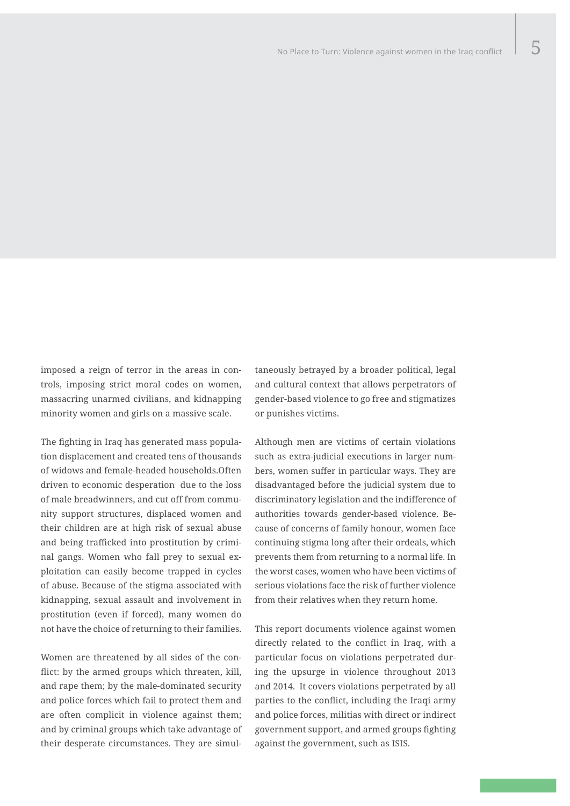imposed a reign of terror in the areas in controls, imposing strict moral codes on women, massacring unarmed civilians, and kidnapping minority women and girls on a massive scale.

The fighting in Iraq has generated mass population displacement and created tens of thousands of widows and female-headed households.Often driven to economic desperation due to the loss of male breadwinners, and cut off from community support structures, displaced women and their children are at high risk of sexual abuse and being trafficked into prostitution by criminal gangs. Women who fall prey to sexual exploitation can easily become trapped in cycles of abuse. Because of the stigma associated with kidnapping, sexual assault and involvement in prostitution (even if forced), many women do not have the choice of returning to their families.

Women are threatened by all sides of the conflict: by the armed groups which threaten, kill, and rape them; by the male-dominated security and police forces which fail to protect them and are often complicit in violence against them; and by criminal groups which take advantage of their desperate circumstances. They are simultaneously betrayed by a broader political, legal and cultural context that allows perpetrators of gender-based violence to go free and stigmatizes or punishes victims.

Although men are victims of certain violations such as extra-judicial executions in larger numbers, women suffer in particular ways. They are disadvantaged before the judicial system due to discriminatory legislation and the indifference of authorities towards gender-based violence. Because of concerns of family honour, women face continuing stigma long after their ordeals, which prevents them from returning to a normal life. In the worst cases, women who have been victims of serious violations face the risk of further violence from their relatives when they return home.

This report documents violence against women directly related to the conflict in Iraq, with a particular focus on violations perpetrated during the upsurge in violence throughout 2013 and 2014. It covers violations perpetrated by all parties to the conflict, including the Iraqi army and police forces, militias with direct or indirect government support, and armed groups fighting against the government, such as ISIS.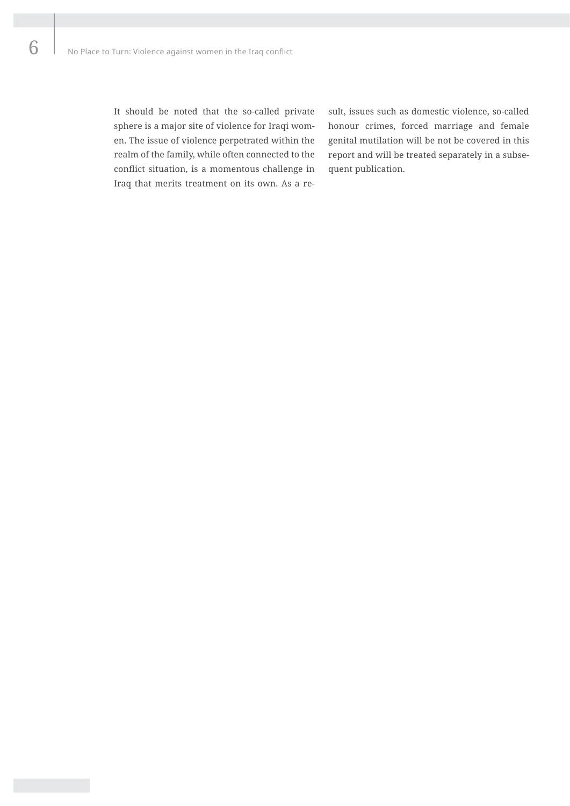It should be noted that the so-called private sphere is a major site of violence for Iraqi women. The issue of violence perpetrated within the realm of the family, while often connected to the conflict situation, is a momentous challenge in Iraq that merits treatment on its own. As a result, issues such as domestic violence, so-called honour crimes, forced marriage and female genital mutilation will be not be covered in this report and will be treated separately in a subsequent publication.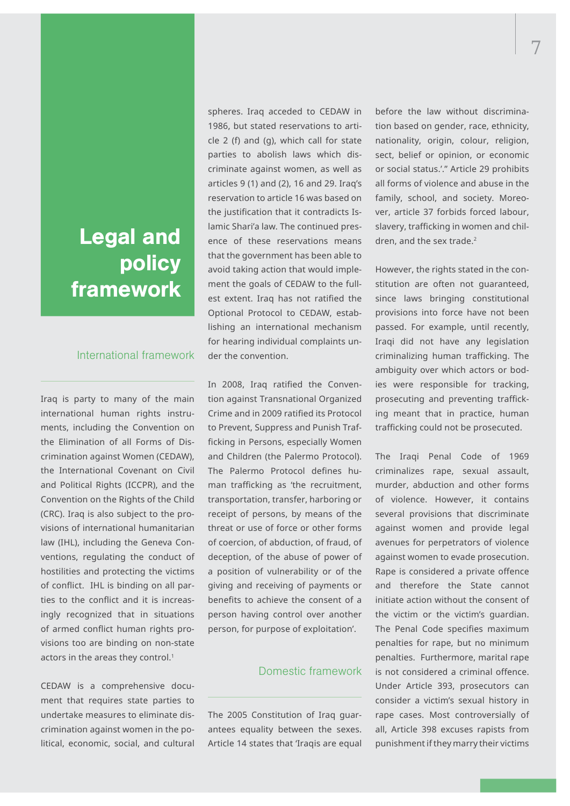## Legal and policy framework

#### International framework

Iraq is party to many of the main international human rights instruments, including the Convention on the Elimination of all Forms of Discrimination against Women (CEDAW), the International Covenant on Civil and Political Rights (ICCPR), and the Convention on the Rights of the Child (CRC). Iraq is also subject to the provisions of international humanitarian law (IHL), including the Geneva Conventions, regulating the conduct of hostilities and protecting the victims of conflict. IHL is binding on all parties to the conflict and it is increasingly recognized that in situations of armed conflict human rights provisions too are binding on non-state actors in the areas they control.<sup>1</sup>

CEDAW is a comprehensive document that requires state parties to undertake measures to eliminate discrimination against women in the political, economic, social, and cultural spheres. Iraq acceded to CEDAW in 1986, but stated reservations to article 2 (f) and (g), which call for state parties to abolish laws which discriminate against women, as well as articles 9 (1) and (2), 16 and 29. Iraq's reservation to article 16 was based on the justification that it contradicts Islamic Shari'a law. The continued presence of these reservations means that the government has been able to avoid taking action that would implement the goals of CEDAW to the fullest extent. Iraq has not ratified the Optional Protocol to CEDAW, establishing an international mechanism for hearing individual complaints under the convention.

In 2008, Iraq ratified the Convention against Transnational Organized Crime and in 2009 ratified its Protocol to Prevent, Suppress and Punish Trafficking in Persons, especially Women and Children (the Palermo Protocol). The Palermo Protocol defines human trafficking as 'the recruitment, transportation, transfer, harboring or receipt of persons, by means of the threat or use of force or other forms of coercion, of abduction, of fraud, of deception, of the abuse of power of a position of vulnerability or of the giving and receiving of payments or benefits to achieve the consent of a person having control over another person, for purpose of exploitation'.

### Domestic framework

The 2005 Constitution of Iraq guarantees equality between the sexes. Article 14 states that 'Iraqis are equal before the law without discrimination based on gender, race, ethnicity, nationality, origin, colour, religion, sect, belief or opinion, or economic or social status.'." Article 29 prohibits all forms of violence and abuse in the family, school, and society. Moreover, article 37 forbids forced labour, slavery, trafficking in women and children, and the sex trade.<sup>2</sup>

However, the rights stated in the constitution are often not guaranteed, since laws bringing constitutional provisions into force have not been passed. For example, until recently, Iraqi did not have any legislation criminalizing human trafficking. The ambiguity over which actors or bodies were responsible for tracking, prosecuting and preventing trafficking meant that in practice, human trafficking could not be prosecuted.

The Iraqi Penal Code of 1969 criminalizes rape, sexual assault, murder, abduction and other forms of violence. However, it contains several provisions that discriminate against women and provide legal avenues for perpetrators of violence against women to evade prosecution. Rape is considered a private offence and therefore the State cannot initiate action without the consent of the victim or the victim's guardian. The Penal Code specifies maximum penalties for rape, but no minimum penalties. Furthermore, marital rape is not considered a criminal offence. Under Article 393, prosecutors can consider a victim's sexual history in rape cases. Most controversially of all, Article 398 excuses rapists from punishment if they marry their victims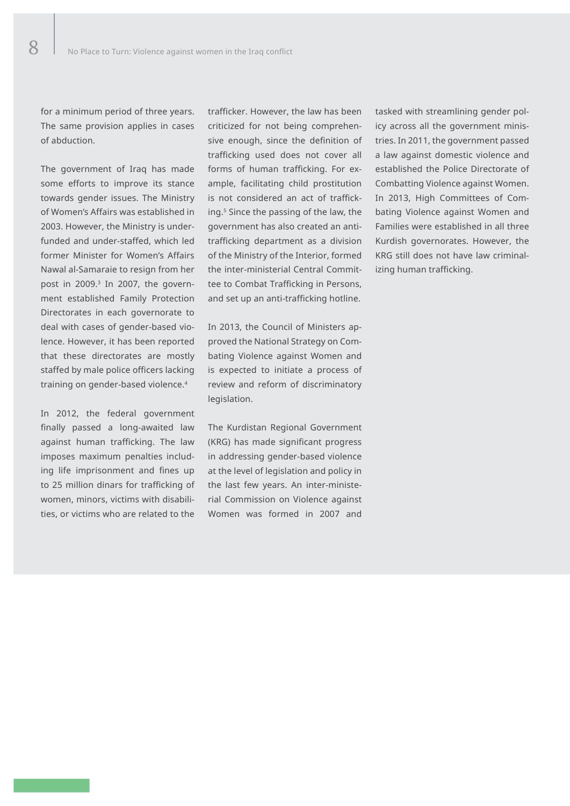for a minimum period of three years. The same provision applies in cases of abduction.

The government of Iraq has made some efforts to improve its stance towards gender issues. The Ministry of Women's Affairs was established in 2003. However, the Ministry is underfunded and under-staffed, which led former Minister for Women's Affairs Nawal al-Samaraie to resign from her post in 2009.<sup>3</sup> In 2007, the government established Family Protection Directorates in each governorate to deal with cases of gender-based violence. However, it has been reported that these directorates are mostly staffed by male police officers lacking training on gender-based violence.4

In 2012, the federal government finally passed a long-awaited law against human trafficking. The law imposes maximum penalties including life imprisonment and fines up to 25 million dinars for trafficking of women, minors, victims with disabilities, or victims who are related to the

trafficker. However, the law has been criticized for not being comprehensive enough, since the definition of trafficking used does not cover all forms of human trafficking. For example, facilitating child prostitution is not considered an act of trafficking.5 Since the passing of the law, the government has also created an antitrafficking department as a division of the Ministry of the Interior, formed the inter-ministerial Central Committee to Combat Trafficking in Persons, and set up an anti-trafficking hotline.

In 2013, the Council of Ministers approved the National Strategy on Combating Violence against Women and is expected to initiate a process of review and reform of discriminatory legislation.

The Kurdistan Regional Government (KRG) has made significant progress in addressing gender-based violence at the level of legislation and policy in the last few years. An inter-ministerial Commission on Violence against Women was formed in 2007 and tasked with streamlining gender policy across all the government ministries. In 2011, the government passed a law against domestic violence and established the Police Directorate of Combatting Violence against Women. In 2013, High Committees of Combating Violence against Women and Families were established in all three Kurdish governorates. However, the KRG still does not have law criminalizing human trafficking.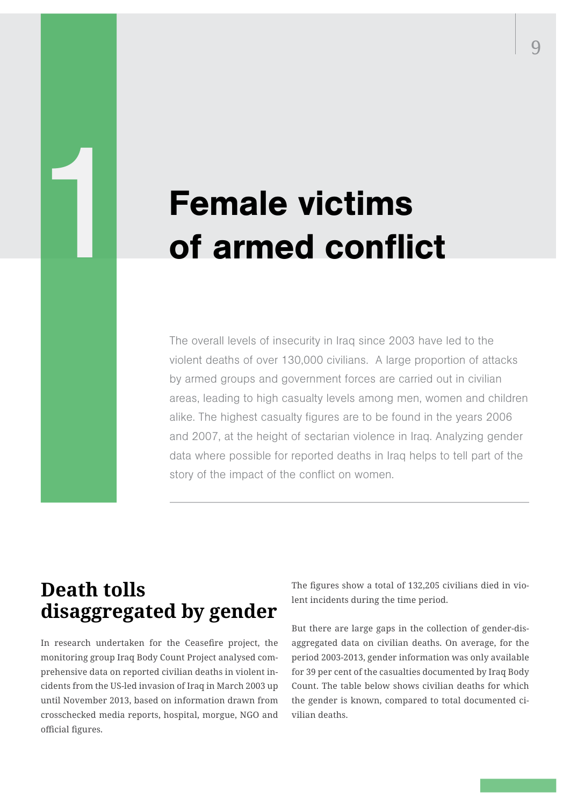# Female victims of armed conflict

The overall levels of insecurity in Iraq since 2003 have led to the violent deaths of over 130,000 civilians. A large proportion of attacks by armed groups and government forces are carried out in civilian areas, leading to high casualty levels among men, women and children alike. The highest casualty figures are to be found in the years 2006 and 2007, at the height of sectarian violence in Iraq. Analyzing gender data where possible for reported deaths in Iraq helps to tell part of the story of the impact of the conflict on women.

## **Death tolls disaggregated by gender**

1

In research undertaken for the Ceasefire project, the monitoring group Iraq Body Count Project analysed comprehensive data on reported civilian deaths in violent incidents from the US-led invasion of Iraq in March 2003 up until November 2013, based on information drawn from crosschecked media reports, hospital, morgue, NGO and official figures.

The figures show a total of 132,205 civilians died in violent incidents during the time period.

But there are large gaps in the collection of gender-disaggregated data on civilian deaths. On average, for the period 2003-2013, gender information was only available for 39 per cent of the casualties documented by Iraq Body Count. The table below shows civilian deaths for which the gender is known, compared to total documented civilian deaths.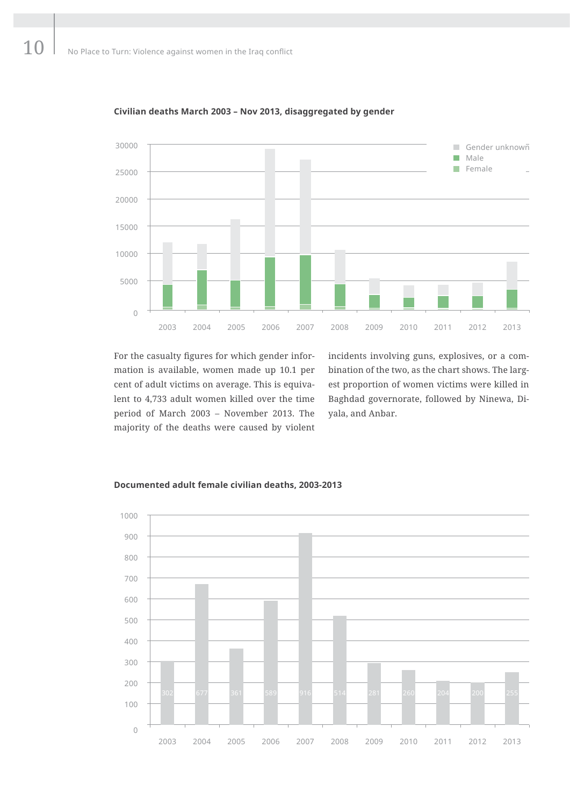

**Civilian deaths March 2003 – Nov 2013, disaggregated by gender**

For the casualty figures for which gender information is available, women made up 10.1 per cent of adult victims on average. This is equivalent to 4,733 adult women killed over the time period of March 2003 – November 2013. The majority of the deaths were caused by violent incidents involving guns, explosives, or a combination of the two, as the chart shows. The largest proportion of women victims were killed in Baghdad governorate, followed by Ninewa, Diyala, and Anbar.



#### **Documented adult female civilian deaths, 2003-2013**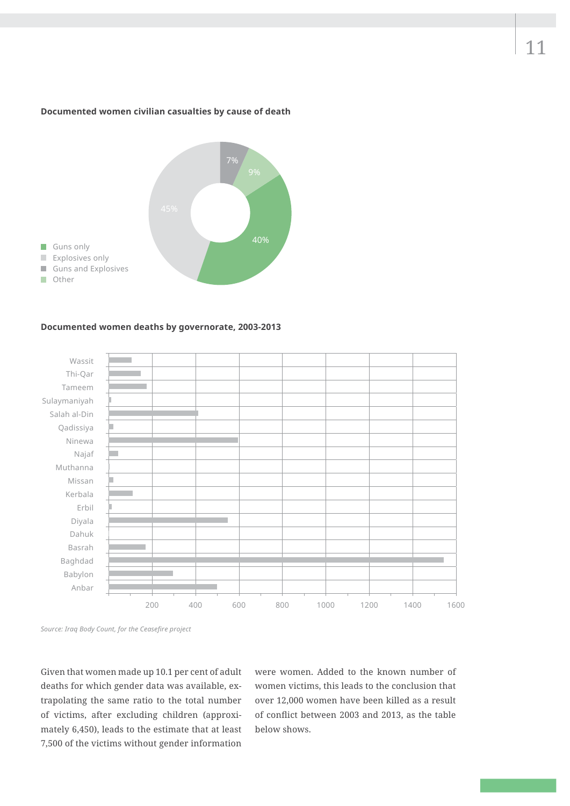#### **Documented women civilian casualties by cause of death**



#### **Documented women deaths by governorate, 2003-2013**





Given that women made up 10.1 per cent of adult deaths for which gender data was available, extrapolating the same ratio to the total number of victims, after excluding children (approximately 6,450), leads to the estimate that at least 7,500 of the victims without gender information

were women. Added to the known number of women victims, this leads to the conclusion that over 12,000 women have been killed as a result of conflict between 2003 and 2013, as the table below shows.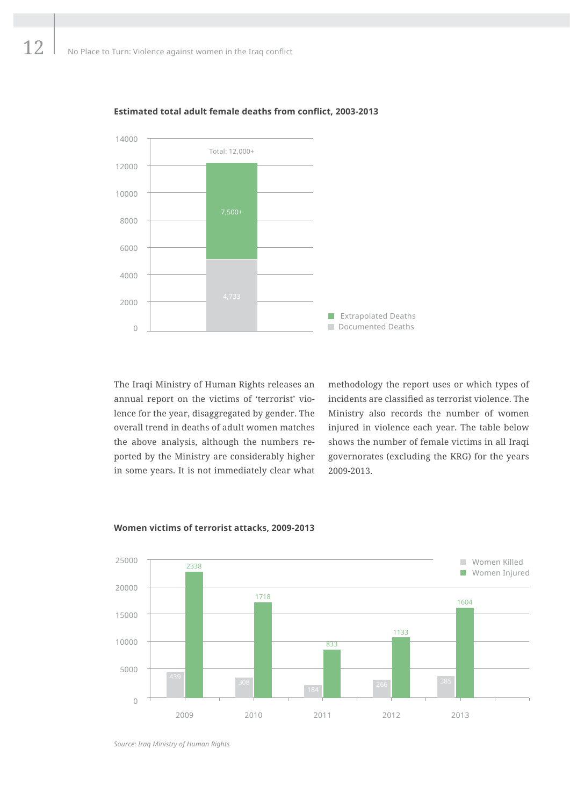

#### **Estimated total adult female deaths from conflict, 2003-2013**

The Iraqi Ministry of Human Rights releases an annual report on the victims of 'terrorist' violence for the year, disaggregated by gender. The overall trend in deaths of adult women matches the above analysis, although the numbers reported by the Ministry are considerably higher in some years. It is not immediately clear what

methodology the report uses or which types of incidents are classified as terrorist violence. The Ministry also records the number of women injured in violence each year. The table below shows the number of female victims in all Iraqi governorates (excluding the KRG) for the years 2009-2013.



#### **Women victims of terrorist attacks, 2009-2013**

*Source: Iraq Ministry of Human Rights*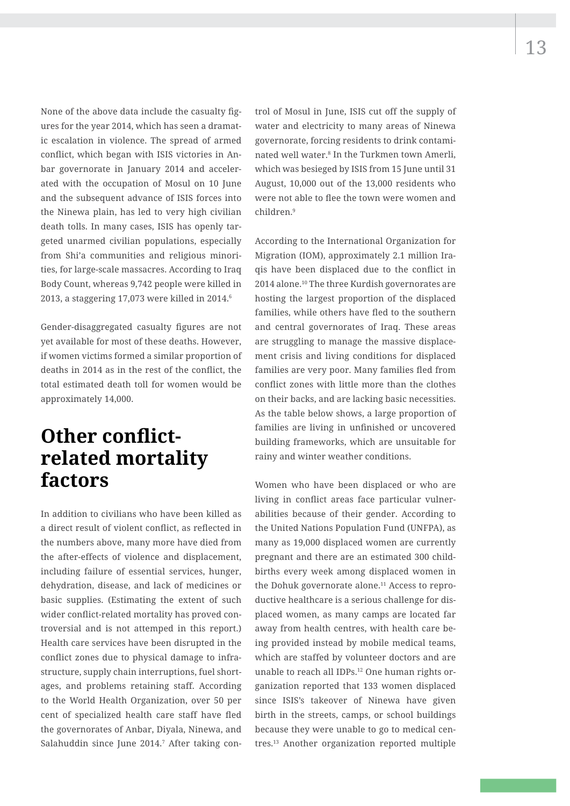None of the above data include the casualty figures for the year 2014, which has seen a dramatic escalation in violence. The spread of armed conflict, which began with ISIS victories in Anbar governorate in January 2014 and accelerated with the occupation of Mosul on 10 June and the subsequent advance of ISIS forces into the Ninewa plain, has led to very high civilian death tolls. In many cases, ISIS has openly targeted unarmed civilian populations, especially from Shi'a communities and religious minorities, for large-scale massacres. According to Iraq Body Count, whereas 9,742 people were killed in 2013, a staggering 17,073 were killed in 2014. $6$ 

Gender-disaggregated casualty figures are not yet available for most of these deaths. However, if women victims formed a similar proportion of deaths in 2014 as in the rest of the conflict, the total estimated death toll for women would be approximately 14,000.

## **Other conflictrelated mortality factors**

In addition to civilians who have been killed as a direct result of violent conflict, as reflected in the numbers above, many more have died from the after-effects of violence and displacement, including failure of essential services, hunger, dehydration, disease, and lack of medicines or basic supplies. (Estimating the extent of such wider conflict-related mortality has proved controversial and is not attemped in this report.) Health care services have been disrupted in the conflict zones due to physical damage to infrastructure, supply chain interruptions, fuel shortages, and problems retaining staff. According to the World Health Organization, over 50 per cent of specialized health care staff have fled the governorates of Anbar, Diyala, Ninewa, and Salahuddin since June 2014.<sup>7</sup> After taking control of Mosul in June, ISIS cut off the supply of water and electricity to many areas of Ninewa governorate, forcing residents to drink contaminated well water.8 In the Turkmen town Amerli, which was besieged by ISIS from 15 June until 31 August, 10,000 out of the 13,000 residents who were not able to flee the town were women and children.<sup>9</sup>

According to the International Organization for Migration (IOM), approximately 2.1 million Iraqis have been displaced due to the conflict in 2014 alone.10 The three Kurdish governorates are hosting the largest proportion of the displaced families, while others have fled to the southern and central governorates of Iraq. These areas are struggling to manage the massive displacement crisis and living conditions for displaced families are very poor. Many families fled from conflict zones with little more than the clothes on their backs, and are lacking basic necessities. As the table below shows, a large proportion of families are living in unfinished or uncovered building frameworks, which are unsuitable for rainy and winter weather conditions.

Women who have been displaced or who are living in conflict areas face particular vulnerabilities because of their gender. According to the United Nations Population Fund (UNFPA), as many as 19,000 displaced women are currently pregnant and there are an estimated 300 childbirths every week among displaced women in the Dohuk governorate alone.<sup>11</sup> Access to reproductive healthcare is a serious challenge for displaced women, as many camps are located far away from health centres, with health care being provided instead by mobile medical teams, which are staffed by volunteer doctors and are unable to reach all IDPs.12 One human rights organization reported that 133 women displaced since ISIS's takeover of Ninewa have given birth in the streets, camps, or school buildings because they were unable to go to medical centres.13 Another organization reported multiple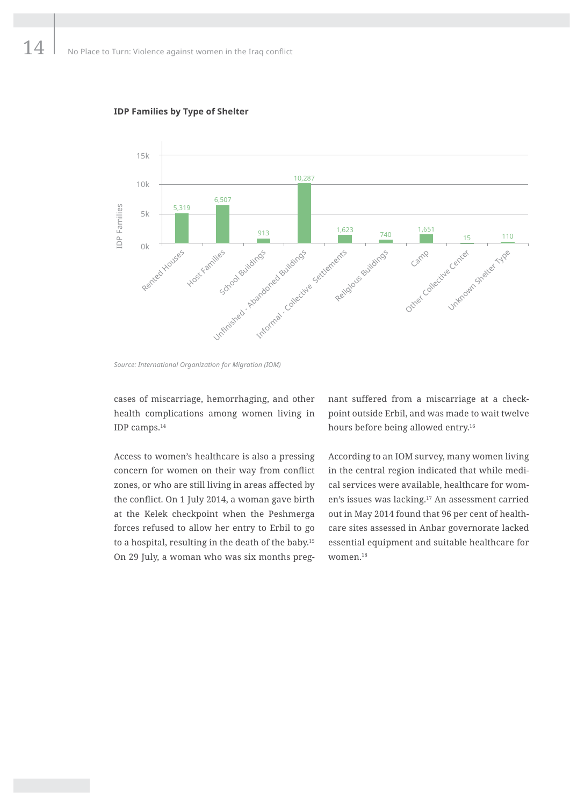

#### **IDP Families by Type of Shelter**

cases of miscarriage, hemorrhaging, and other health complications among women living in IDP camps.14

Access to women's healthcare is also a pressing concern for women on their way from conflict zones, or who are still living in areas affected by the conflict. On 1 July 2014, a woman gave birth at the Kelek checkpoint when the Peshmerga forces refused to allow her entry to Erbil to go to a hospital, resulting in the death of the baby.15 On 29 July, a woman who was six months preg-

nant suffered from a miscarriage at a checkpoint outside Erbil, and was made to wait twelve hours before being allowed entry.<sup>16</sup>

According to an IOM survey, many women living in the central region indicated that while medical services were available, healthcare for women's issues was lacking.17 An assessment carried out in May 2014 found that 96 per cent of healthcare sites assessed in Anbar governorate lacked essential equipment and suitable healthcare for women.18

*Source: International Organization for Migration (IOM)*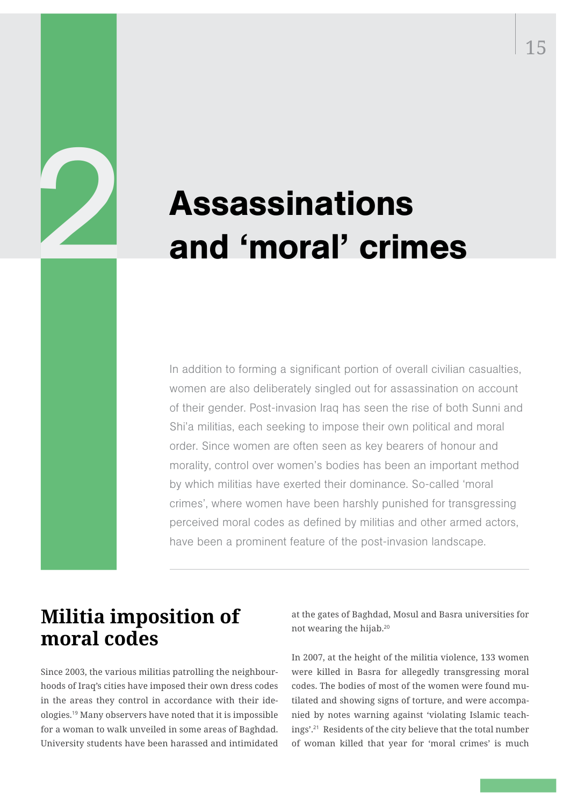# Assassinations and 'moral' crimes

In addition to forming a significant portion of overall civilian casualties, women are also deliberately singled out for assassination on account of their gender. Post-invasion Iraq has seen the rise of both Sunni and Shi'a militias, each seeking to impose their own political and moral order. Since women are often seen as key bearers of honour and morality, control over women's bodies has been an important method by which militias have exerted their dominance. So-called 'moral crimes', where women have been harshly punished for transgressing perceived moral codes as defined by militias and other armed actors, have been a prominent feature of the post-invasion landscape.

## **Militia imposition of moral codes**

2

Since 2003, the various militias patrolling the neighbourhoods of Iraq's cities have imposed their own dress codes in the areas they control in accordance with their ideologies.19 Many observers have noted that it is impossible for a woman to walk unveiled in some areas of Baghdad. University students have been harassed and intimidated

at the gates of Baghdad, Mosul and Basra universities for not wearing the hijab.<sup>20</sup>

In 2007, at the height of the militia violence, 133 women were killed in Basra for allegedly transgressing moral codes. The bodies of most of the women were found mutilated and showing signs of torture, and were accompanied by notes warning against 'violating Islamic teachings'.21 Residents of the city believe that the total number of woman killed that year for 'moral crimes' is much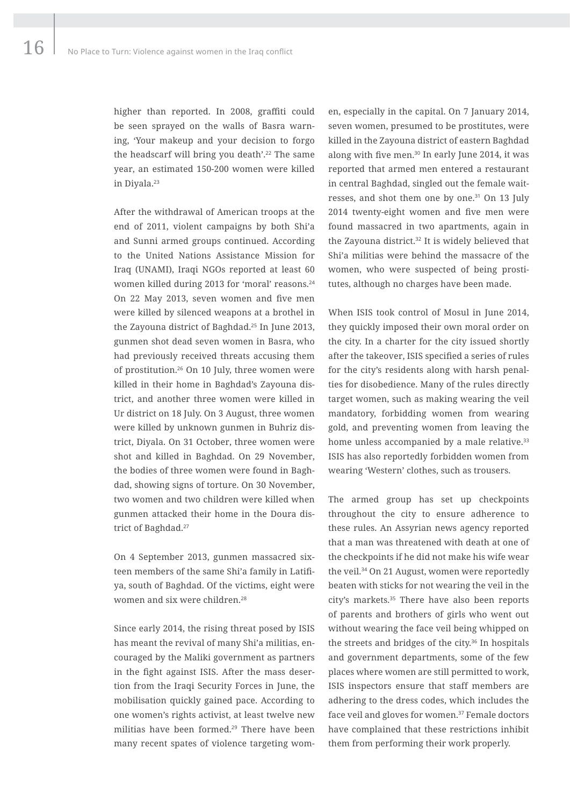higher than reported. In 2008, graffiti could be seen sprayed on the walls of Basra warning, 'Your makeup and your decision to forgo the headscarf will bring you death'.22 The same year, an estimated 150-200 women were killed in Diyala.<sup>23</sup>

After the withdrawal of American troops at the end of 2011, violent campaigns by both Shi'a and Sunni armed groups continued. According to the United Nations Assistance Mission for Iraq (UNAMI), Iraqi NGOs reported at least 60 women killed during 2013 for 'moral' reasons.<sup>24</sup> On 22 May 2013, seven women and five men were killed by silenced weapons at a brothel in the Zayouna district of Baghdad.25 In June 2013, gunmen shot dead seven women in Basra, who had previously received threats accusing them of prostitution.26 On 10 July, three women were killed in their home in Baghdad's Zayouna district, and another three women were killed in Ur district on 18 July. On 3 August, three women were killed by unknown gunmen in Buhriz district, Diyala. On 31 October, three women were shot and killed in Baghdad. On 29 November, the bodies of three women were found in Baghdad, showing signs of torture. On 30 November, two women and two children were killed when gunmen attacked their home in the Doura district of Baghdad.<sup>27</sup>

On 4 September 2013, gunmen massacred sixteen members of the same Shi'a family in Latifiya, south of Baghdad. Of the victims, eight were women and six were children.<sup>28</sup>

Since early 2014, the rising threat posed by ISIS has meant the revival of many Shi'a militias, encouraged by the Maliki government as partners in the fight against ISIS. After the mass desertion from the Iraqi Security Forces in June, the mobilisation quickly gained pace. According to one women's rights activist, at least twelve new militias have been formed.<sup>29</sup> There have been many recent spates of violence targeting wom-

en, especially in the capital. On 7 January 2014, seven women, presumed to be prostitutes, were killed in the Zayouna district of eastern Baghdad along with five men.<sup>30</sup> In early June 2014, it was reported that armed men entered a restaurant in central Baghdad, singled out the female waitresses, and shot them one by one.31 On 13 July 2014 twenty-eight women and five men were found massacred in two apartments, again in the Zayouna district.<sup>32</sup> It is widely believed that Shi'a militias were behind the massacre of the women, who were suspected of being prostitutes, although no charges have been made.

When ISIS took control of Mosul in June 2014, they quickly imposed their own moral order on the city. In a charter for the city issued shortly after the takeover, ISIS specified a series of rules for the city's residents along with harsh penalties for disobedience. Many of the rules directly target women, such as making wearing the veil mandatory, forbidding women from wearing gold, and preventing women from leaving the home unless accompanied by a male relative.<sup>33</sup> ISIS has also reportedly forbidden women from wearing 'Western' clothes, such as trousers.

The armed group has set up checkpoints throughout the city to ensure adherence to these rules. An Assyrian news agency reported that a man was threatened with death at one of the checkpoints if he did not make his wife wear the veil.34 On 21 August, women were reportedly beaten with sticks for not wearing the veil in the city's markets.<sup>35</sup> There have also been reports of parents and brothers of girls who went out without wearing the face veil being whipped on the streets and bridges of the city. $36$  In hospitals and government departments, some of the few places where women are still permitted to work, ISIS inspectors ensure that staff members are adhering to the dress codes, which includes the face veil and gloves for women.<sup>37</sup> Female doctors have complained that these restrictions inhibit them from performing their work properly.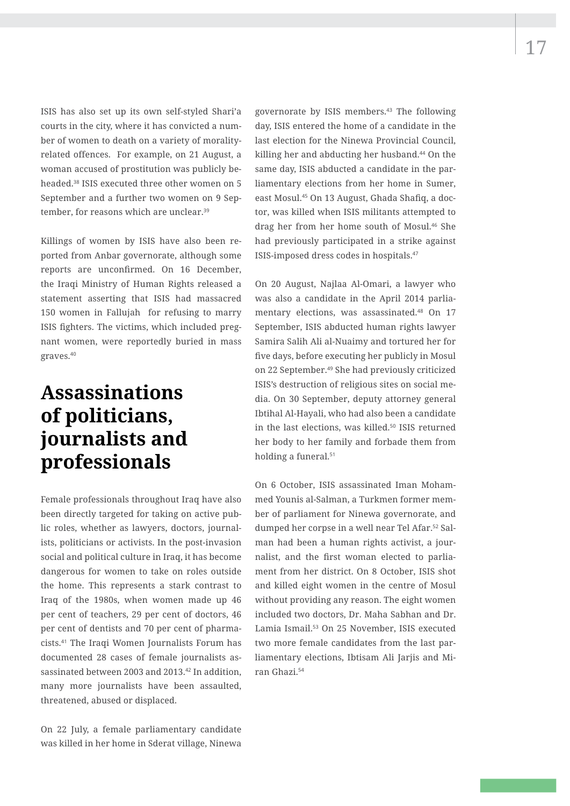17

ISIS has also set up its own self-styled Shari'a courts in the city, where it has convicted a number of women to death on a variety of moralityrelated offences. For example, on 21 August, a woman accused of prostitution was publicly beheaded.38 ISIS executed three other women on 5 September and a further two women on 9 September, for reasons which are unclear.<sup>39</sup>

Killings of women by ISIS have also been reported from Anbar governorate, although some reports are unconfirmed. On 16 December, the Iraqi Ministry of Human Rights released a statement asserting that ISIS had massacred 150 women in Fallujah for refusing to marry ISIS fighters. The victims, which included pregnant women, were reportedly buried in mass graves.<sup>40</sup>

## **Assassinations of politicians, journalists and professionals**

Female professionals throughout Iraq have also been directly targeted for taking on active public roles, whether as lawyers, doctors, journalists, politicians or activists. In the post-invasion social and political culture in Iraq, it has become dangerous for women to take on roles outside the home. This represents a stark contrast to Iraq of the 1980s, when women made up 46 per cent of teachers, 29 per cent of doctors, 46 per cent of dentists and 70 per cent of pharmacists.41 The Iraqi Women Journalists Forum has documented 28 cases of female journalists assassinated between 2003 and 2013.42 In addition, many more journalists have been assaulted, threatened, abused or displaced.

On 22 July, a female parliamentary candidate was killed in her home in Sderat village, Ninewa

governorate by ISIS members.43 The following day, ISIS entered the home of a candidate in the last election for the Ninewa Provincial Council, killing her and abducting her husband.44 On the same day, ISIS abducted a candidate in the parliamentary elections from her home in Sumer, east Mosul.45 On 13 August, Ghada Shafiq, a doctor, was killed when ISIS militants attempted to drag her from her home south of Mosul.46 She had previously participated in a strike against ISIS-imposed dress codes in hospitals.<sup>47</sup>

On 20 August, Najlaa Al-Omari, a lawyer who was also a candidate in the April 2014 parliamentary elections, was assassinated.48 On 17 September, ISIS abducted human rights lawyer Samira Salih Ali al-Nuaimy and tortured her for five days, before executing her publicly in Mosul on 22 September.49 She had previously criticized ISIS's destruction of religious sites on social media. On 30 September, deputy attorney general Ibtihal Al-Hayali, who had also been a candidate in the last elections, was killed.50 ISIS returned her body to her family and forbade them from holding a funeral.<sup>51</sup>

On 6 October, ISIS assassinated Iman Mohammed Younis al-Salman, a Turkmen former member of parliament for Ninewa governorate, and dumped her corpse in a well near Tel Afar.52 Salman had been a human rights activist, a journalist, and the first woman elected to parliament from her district. On 8 October, ISIS shot and killed eight women in the centre of Mosul without providing any reason. The eight women included two doctors, Dr. Maha Sabhan and Dr. Lamia Ismail.53 On 25 November, ISIS executed two more female candidates from the last parliamentary elections, Ibtisam Ali Jarjis and Miran Ghazi.54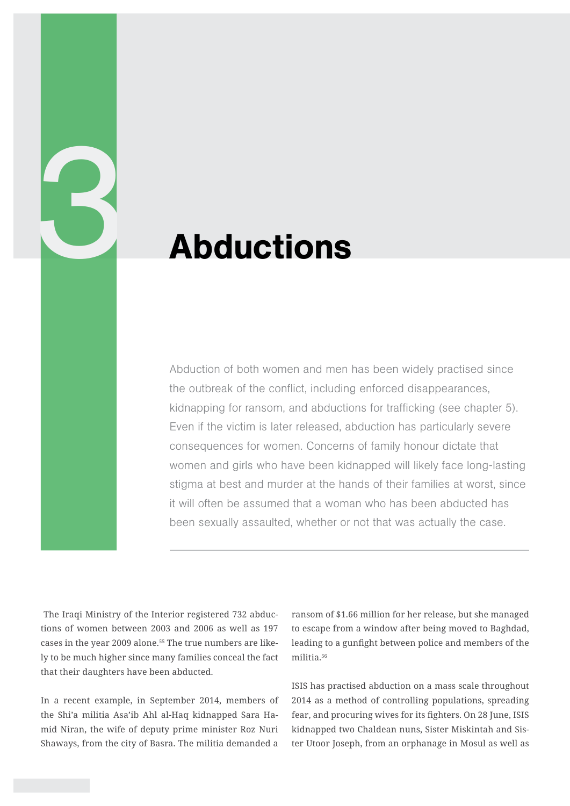## Abductions

Abduction of both women and men has been widely practised since the outbreak of the conflict, including enforced disappearances, kidnapping for ransom, and abductions for trafficking (see chapter 5). Even if the victim is later released, abduction has particularly severe consequences for women. Concerns of family honour dictate that women and girls who have been kidnapped will likely face long-lasting stigma at best and murder at the hands of their families at worst, since it will often be assumed that a woman who has been abducted has been sexually assaulted, whether or not that was actually the case.

 The Iraqi Ministry of the Interior registered 732 abductions of women between 2003 and 2006 as well as 197 cases in the year 2009 alone.55 The true numbers are likely to be much higher since many families conceal the fact that their daughters have been abducted.

3

In a recent example, in September 2014, members of the Shi'a militia Asa'ib Ahl al-Haq kidnapped Sara Hamid Niran, the wife of deputy prime minister Roz Nuri Shaways, from the city of Basra. The militia demanded a

ransom of \$1.66 million for her release, but she managed to escape from a window after being moved to Baghdad, leading to a gunfight between police and members of the militia<sup>56</sup>

ISIS has practised abduction on a mass scale throughout 2014 as a method of controlling populations, spreading fear, and procuring wives for its fighters. On 28 June, ISIS kidnapped two Chaldean nuns, Sister Miskintah and Sister Utoor Joseph, from an orphanage in Mosul as well as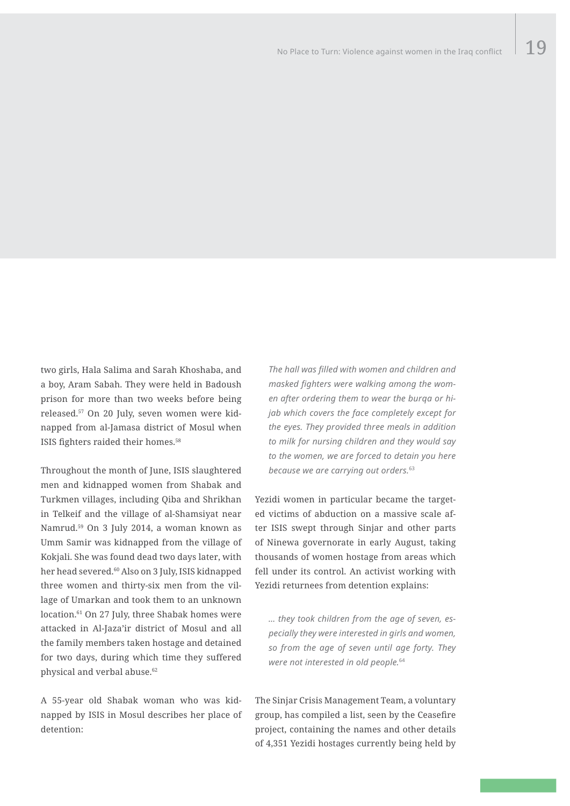two girls, Hala Salima and Sarah Khoshaba, and a boy, Aram Sabah. They were held in Badoush prison for more than two weeks before being released.57 On 20 July, seven women were kidnapped from al-Jamasa district of Mosul when ISIS fighters raided their homes.<sup>58</sup>

Throughout the month of June, ISIS slaughtered men and kidnapped women from Shabak and Turkmen villages, including Qiba and Shrikhan in Telkeif and the village of al-Shamsiyat near Namrud.59 On 3 July 2014, a woman known as Umm Samir was kidnapped from the village of Kokjali. She was found dead two days later, with her head severed.60 Also on 3 July, ISIS kidnapped three women and thirty-six men from the village of Umarkan and took them to an unknown location.61 On 27 July, three Shabak homes were attacked in Al-Jaza'ir district of Mosul and all the family members taken hostage and detained for two days, during which time they suffered physical and verbal abuse.<sup>62</sup>

A 55-year old Shabak woman who was kidnapped by ISIS in Mosul describes her place of detention:

*The hall was filled with women and children and masked fighters were walking among the women after ordering them to wear the burqa or hijab which covers the face completely except for the eyes. They provided three meals in addition to milk for nursing children and they would say to the women, we are forced to detain you here because we are carrying out orders.*<sup>63</sup>

Yezidi women in particular became the targeted victims of abduction on a massive scale after ISIS swept through Sinjar and other parts of Ninewa governorate in early August, taking thousands of women hostage from areas which fell under its control. An activist working with Yezidi returnees from detention explains:

*… they took children from the age of seven, especially they were interested in girls and women, so from the age of seven until age forty. They were not interested in old people.*<sup>64</sup>

The Sinjar Crisis Management Team, a voluntary group, has compiled a list, seen by the Ceasefire project, containing the names and other details of 4,351 Yezidi hostages currently being held by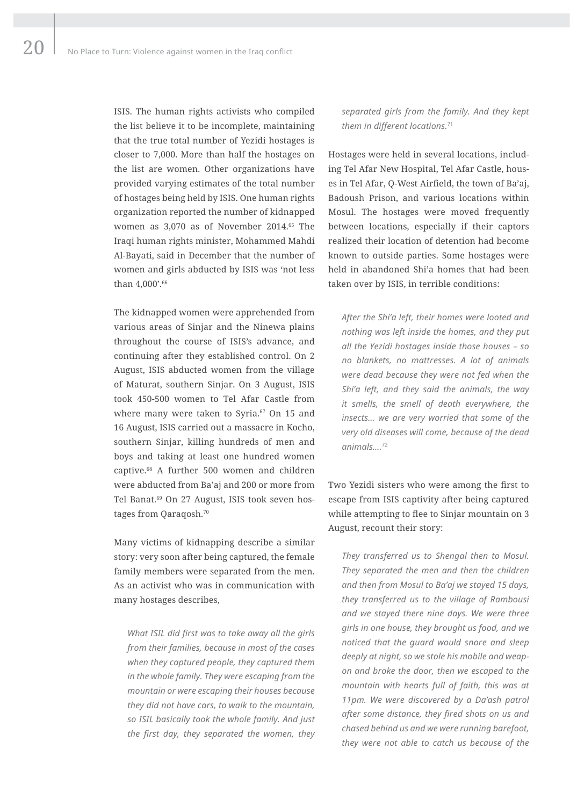ISIS. The human rights activists who compiled the list believe it to be incomplete, maintaining that the true total number of Yezidi hostages is closer to 7,000. More than half the hostages on the list are women. Other organizations have provided varying estimates of the total number of hostages being held by ISIS. One human rights organization reported the number of kidnapped women as 3,070 as of November 2014.65 The Iraqi human rights minister, Mohammed Mahdi Al-Bayati, said in December that the number of women and girls abducted by ISIS was 'not less than 4,000'.<sup>66</sup>

The kidnapped women were apprehended from various areas of Sinjar and the Ninewa plains throughout the course of ISIS's advance, and continuing after they established control. On 2 August, ISIS abducted women from the village of Maturat, southern Sinjar. On 3 August, ISIS took 450-500 women to Tel Afar Castle from where many were taken to Syria.<sup>67</sup> On 15 and 16 August, ISIS carried out a massacre in Kocho, southern Sinjar, killing hundreds of men and boys and taking at least one hundred women captive.68 A further 500 women and children were abducted from Ba'aj and 200 or more from Tel Banat.<sup>69</sup> On 27 August, ISIS took seven hostages from Qaraqosh.<sup>70</sup>

Many victims of kidnapping describe a similar story: very soon after being captured, the female family members were separated from the men. As an activist who was in communication with many hostages describes,

*What ISIL did first was to take away all the girls from their families, because in most of the cases when they captured people, they captured them in the whole family. They were escaping from the mountain or were escaping their houses because they did not have cars, to walk to the mountain, so ISIL basically took the whole family. And just the first day, they separated the women, they*  *separated girls from the family. And they kept them in different locations.*<sup>71</sup>

Hostages were held in several locations, including Tel Afar New Hospital, Tel Afar Castle, houses in Tel Afar, Q-West Airfield, the town of Ba'aj, Badoush Prison, and various locations within Mosul. The hostages were moved frequently between locations, especially if their captors realized their location of detention had become known to outside parties. Some hostages were held in abandoned Shi'a homes that had been taken over by ISIS, in terrible conditions:

*After the Shi'a left, their homes were looted and nothing was left inside the homes, and they put all the Yezidi hostages inside those houses – so no blankets, no mattresses. A lot of animals were dead because they were not fed when the Shi'a left, and they said the animals, the way it smells, the smell of death everywhere, the insects… we are very worried that some of the very old diseases will come, because of the dead animals….*<sup>72</sup>

Two Yezidi sisters who were among the first to escape from ISIS captivity after being captured while attempting to flee to Sinjar mountain on 3 August, recount their story:

*They transferred us to Shengal then to Mosul. They separated the men and then the children and then from Mosul to Ba'aj we stayed 15 days, they transferred us to the village of Rambousi and we stayed there nine days. We were three girls in one house, they brought us food, and we noticed that the guard would snore and sleep deeply at night, so we stole his mobile and weapon and broke the door, then we escaped to the mountain with hearts full of faith, this was at 11pm. We were discovered by a Da'ash patrol after some distance, they fired shots on us and chased behind us and we were running barefoot, they were not able to catch us because of the*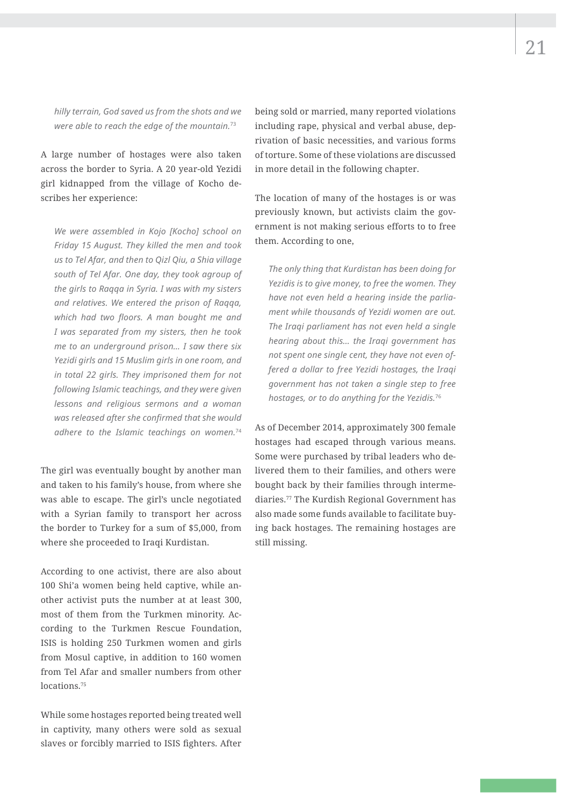*hilly terrain, God saved us from the shots and we were able to reach the edge of the mountain.*<sup>73</sup>

A large number of hostages were also taken across the border to Syria. A 20 year-old Yezidi girl kidnapped from the village of Kocho describes her experience:

*We were assembled in Kojo [Kocho] school on Friday 15 August. They killed the men and took us to Tel Afar, and then to Qizl Qiu, a Shia village south of Tel Afar. One day, they took agroup of the girls to Raqqa in Syria. I was with my sisters and relatives. We entered the prison of Raqqa, which had two floors. A man bought me and I was separated from my sisters, then he took me to an underground prison… I saw there six Yezidi girls and 15 Muslim girls in one room, and in total 22 girls. They imprisoned them for not following Islamic teachings, and they were given lessons and religious sermons and a woman was released after she confirmed that she would adhere to the Islamic teachings on women.*<sup>74</sup>

The girl was eventually bought by another man and taken to his family's house, from where she was able to escape. The girl's uncle negotiated with a Syrian family to transport her across the border to Turkey for a sum of \$5,000, from where she proceeded to Iraqi Kurdistan.

According to one activist, there are also about 100 Shi'a women being held captive, while another activist puts the number at at least 300, most of them from the Turkmen minority. According to the Turkmen Rescue Foundation, ISIS is holding 250 Turkmen women and girls from Mosul captive, in addition to 160 women from Tel Afar and smaller numbers from other locations.75

While some hostages reported being treated well in captivity, many others were sold as sexual slaves or forcibly married to ISIS fighters. After

being sold or married, many reported violations including rape, physical and verbal abuse, deprivation of basic necessities, and various forms of torture. Some of these violations are discussed in more detail in the following chapter.

The location of many of the hostages is or was previously known, but activists claim the government is not making serious efforts to to free them. According to one,

*The only thing that Kurdistan has been doing for Yezidis is to give money, to free the women. They have not even held a hearing inside the parliament while thousands of Yezidi women are out. The Iraqi parliament has not even held a single hearing about this… the Iraqi government has not spent one single cent, they have not even offered a dollar to free Yezidi hostages, the Iraqi government has not taken a single step to free hostages, or to do anything for the Yezidis.*<sup>76</sup>

As of December 2014, approximately 300 female hostages had escaped through various means. Some were purchased by tribal leaders who delivered them to their families, and others were bought back by their families through intermediaries.77 The Kurdish Regional Government has also made some funds available to facilitate buying back hostages. The remaining hostages are still missing.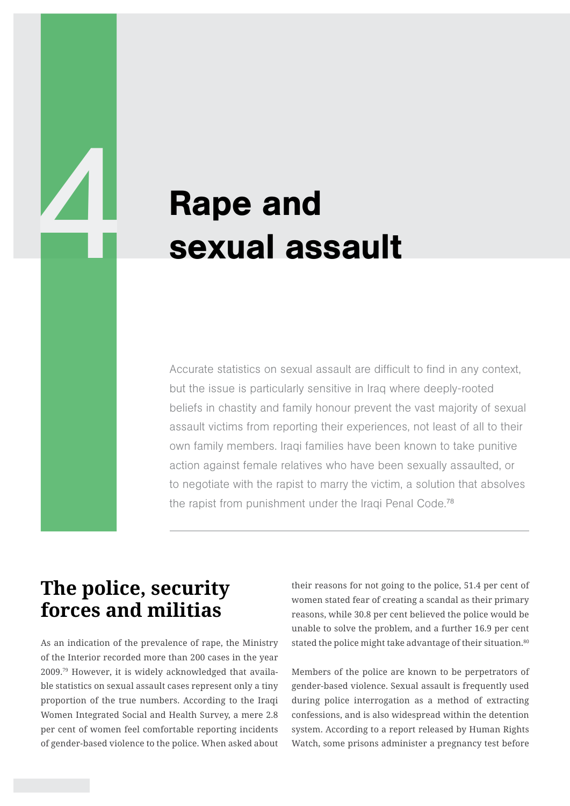# **1 Rape and<br>Sexual assets** sexual assault

Accurate statistics on sexual assault are difficult to find in any context, but the issue is particularly sensitive in Iraq where deeply-rooted beliefs in chastity and family honour prevent the vast majority of sexual assault victims from reporting their experiences, not least of all to their own family members. Iraqi families have been known to take punitive action against female relatives who have been sexually assaulted, or to negotiate with the rapist to marry the victim, a solution that absolves the rapist from punishment under the Iraqi Penal Code.<sup>78</sup>

## **The police, security forces and militias**

As an indication of the prevalence of rape, the Ministry of the Interior recorded more than 200 cases in the year 2009.79 However, it is widely acknowledged that available statistics on sexual assault cases represent only a tiny proportion of the true numbers. According to the Iraqi Women Integrated Social and Health Survey, a mere 2.8 per cent of women feel comfortable reporting incidents of gender-based violence to the police. When asked about

their reasons for not going to the police, 51.4 per cent of women stated fear of creating a scandal as their primary reasons, while 30.8 per cent believed the police would be unable to solve the problem, and a further 16.9 per cent stated the police might take advantage of their situation.<sup>80</sup>

Members of the police are known to be perpetrators of gender-based violence. Sexual assault is frequently used during police interrogation as a method of extracting confessions, and is also widespread within the detention system. According to a report released by Human Rights Watch, some prisons administer a pregnancy test before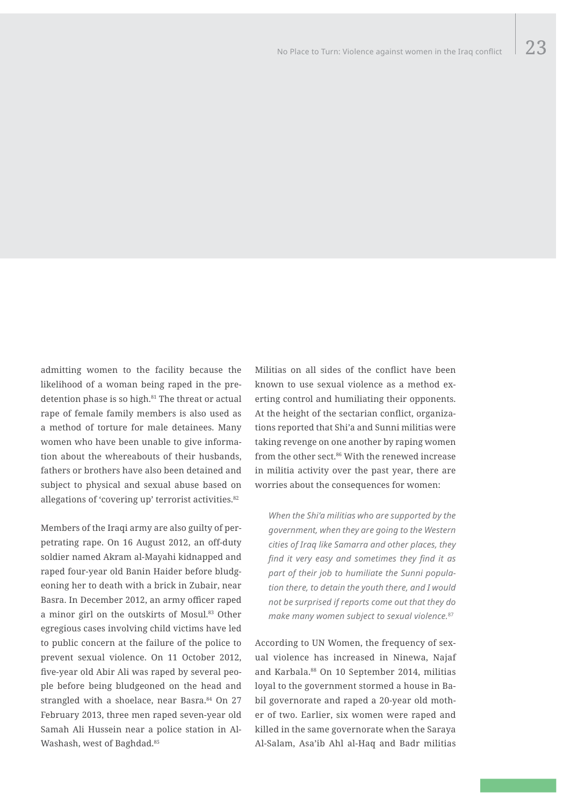admitting women to the facility because the likelihood of a woman being raped in the predetention phase is so high.<sup>81</sup> The threat or actual rape of female family members is also used as a method of torture for male detainees. Many women who have been unable to give information about the whereabouts of their husbands, fathers or brothers have also been detained and subject to physical and sexual abuse based on allegations of 'covering up' terrorist activities.<sup>82</sup>

Members of the Iraqi army are also guilty of perpetrating rape. On 16 August 2012, an off-duty soldier named Akram al-Mayahi kidnapped and raped four-year old Banin Haider before bludgeoning her to death with a brick in Zubair, near Basra. In December 2012, an army officer raped a minor girl on the outskirts of Mosul.83 Other egregious cases involving child victims have led to public concern at the failure of the police to prevent sexual violence. On 11 October 2012, five-year old Abir Ali was raped by several people before being bludgeoned on the head and strangled with a shoelace, near Basra.<sup>84</sup> On 27 February 2013, three men raped seven-year old Samah Ali Hussein near a police station in Al-Washash, west of Baghdad.<sup>85</sup>

Militias on all sides of the conflict have been known to use sexual violence as a method exerting control and humiliating their opponents. At the height of the sectarian conflict, organizations reported that Shi'a and Sunni militias were taking revenge on one another by raping women from the other sect.86 With the renewed increase in militia activity over the past year, there are worries about the consequences for women:

*When the Shi'a militias who are supported by the government, when they are going to the Western cities of Iraq like Samarra and other places, they find it very easy and sometimes they find it as part of their job to humiliate the Sunni population there, to detain the youth there, and I would not be surprised if reports come out that they do make many women subject to sexual violence.*<sup>87</sup>

According to UN Women, the frequency of sexual violence has increased in Ninewa, Najaf and Karbala.88 On 10 September 2014, militias loyal to the government stormed a house in Babil governorate and raped a 20-year old mother of two. Earlier, six women were raped and killed in the same governorate when the Saraya Al-Salam, Asa'ib Ahl al-Haq and Badr militias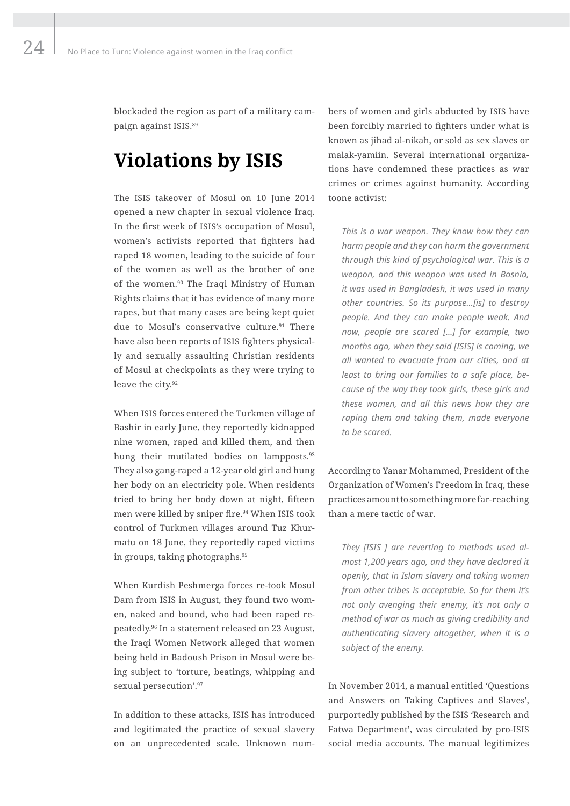blockaded the region as part of a military campaign against ISIS.89

## **Violations by ISIS**

The ISIS takeover of Mosul on 10 June 2014 opened a new chapter in sexual violence Iraq. In the first week of ISIS's occupation of Mosul, women's activists reported that fighters had raped 18 women, leading to the suicide of four of the women as well as the brother of one of the women.90 The Iraqi Ministry of Human Rights claims that it has evidence of many more rapes, but that many cases are being kept quiet due to Mosul's conservative culture.<sup>91</sup> There have also been reports of ISIS fighters physically and sexually assaulting Christian residents of Mosul at checkpoints as they were trying to leave the city.<sup>92</sup>

When ISIS forces entered the Turkmen village of Bashir in early June, they reportedly kidnapped nine women, raped and killed them, and then hung their mutilated bodies on lampposts.<sup>93</sup> They also gang-raped a 12-year old girl and hung her body on an electricity pole. When residents tried to bring her body down at night, fifteen men were killed by sniper fire.<sup>94</sup> When ISIS took control of Turkmen villages around Tuz Khurmatu on 18 June, they reportedly raped victims in groups, taking photographs.95

When Kurdish Peshmerga forces re-took Mosul Dam from ISIS in August, they found two women, naked and bound, who had been raped repeatedly.96 In a statement released on 23 August, the Iraqi Women Network alleged that women being held in Badoush Prison in Mosul were being subject to 'torture, beatings, whipping and sexual persecution'.<sup>97</sup>

In addition to these attacks, ISIS has introduced and legitimated the practice of sexual slavery on an unprecedented scale. Unknown numbers of women and girls abducted by ISIS have been forcibly married to fighters under what is known as jihad al-nikah, or sold as sex slaves or malak-yamiin. Several international organizations have condemned these practices as war crimes or crimes against humanity. According toone activist:

*This is a war weapon. They know how they can harm people and they can harm the government through this kind of psychological war. This is a weapon, and this weapon was used in Bosnia, it was used in Bangladesh, it was used in many other countries. So its purpose…[is] to destroy people. And they can make people weak. And now, people are scared […] for example, two months ago, when they said [ISIS] is coming, we all wanted to evacuate from our cities, and at least to bring our families to a safe place, because of the way they took girls, these girls and these women, and all this news how they are raping them and taking them, made everyone to be scared.*

According to Yanar Mohammed, President of the Organization of Women's Freedom in Iraq, these practices amount to something more far-reaching than a mere tactic of war.

*They [ISIS ] are reverting to methods used almost 1,200 years ago, and they have declared it openly, that in Islam slavery and taking women from other tribes is acceptable. So for them it's not only avenging their enemy, it's not only a method of war as much as giving credibility and authenticating slavery altogether, when it is a subject of the enemy.*

In November 2014, a manual entitled 'Questions and Answers on Taking Captives and Slaves', purportedly published by the ISIS 'Research and Fatwa Department', was circulated by pro-ISIS social media accounts. The manual legitimizes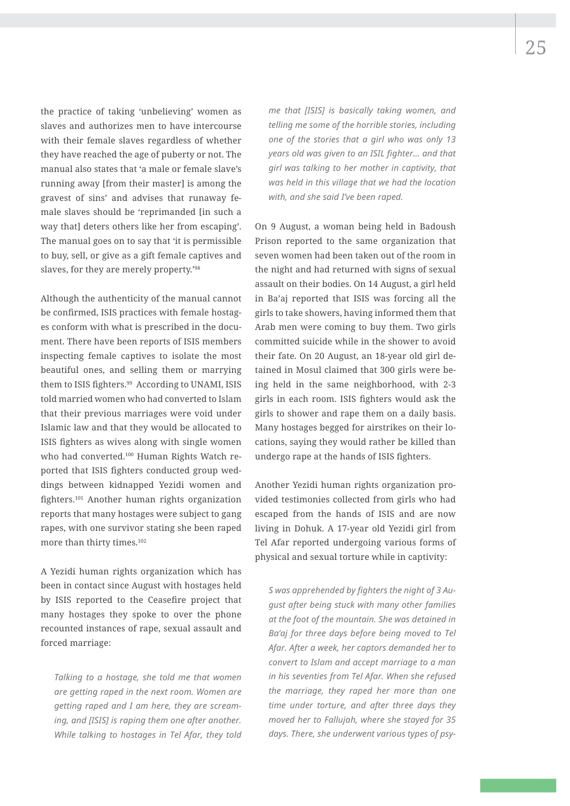the practice of taking 'unbelieving' women as slaves and authorizes men to have intercourse with their female slaves regardless of whether they have reached the age of puberty or not. The manual also states that 'a male or female slave's

running away [from their master] is among the gravest of sins' and advises that runaway female slaves should be 'reprimanded [in such a way that] deters others like her from escaping'. The manual goes on to say that 'it is permissible to buy, sell, or give as a gift female captives and slaves, for they are merely property.'98

Although the authenticity of the manual cannot be confirmed, ISIS practices with female hostages conform with what is prescribed in the document. There have been reports of ISIS members inspecting female captives to isolate the most beautiful ones, and selling them or marrying them to ISIS fighters.<sup>99</sup> According to UNAMI, ISIS told married women who had converted to Islam that their previous marriages were void under Islamic law and that they would be allocated to ISIS fighters as wives along with single women who had converted.100 Human Rights Watch reported that ISIS fighters conducted group weddings between kidnapped Yezidi women and fighters.101 Another human rights organization reports that many hostages were subject to gang rapes, with one survivor stating she been raped more than thirty times.102

A Yezidi human rights organization which has been in contact since August with hostages held by ISIS reported to the Ceasefire project that many hostages they spoke to over the phone recounted instances of rape, sexual assault and forced marriage:

*Talking to a hostage, she told me that women are getting raped in the next room. Women are getting raped and I am here, they are screaming, and [ISIS] is raping them one after another. While talking to hostages in Tel Afar, they told* 

*me that [ISIS] is basically taking women, and telling me some of the horrible stories, including one of the stories that a girl who was only 13 years old was given to an ISIL fighter… and that girl was talking to her mother in captivity, that was held in this village that we had the location with, and she said I've been raped.*

On 9 August, a woman being held in Badoush Prison reported to the same organization that seven women had been taken out of the room in the night and had returned with signs of sexual assault on their bodies. On 14 August, a girl held in Ba'aj reported that ISIS was forcing all the girls to take showers, having informed them that Arab men were coming to buy them. Two girls committed suicide while in the shower to avoid their fate. On 20 August, an 18-year old girl detained in Mosul claimed that 300 girls were being held in the same neighborhood, with 2-3 girls in each room. ISIS fighters would ask the girls to shower and rape them on a daily basis. Many hostages begged for airstrikes on their locations, saying they would rather be killed than undergo rape at the hands of ISIS fighters.

Another Yezidi human rights organization provided testimonies collected from girls who had escaped from the hands of ISIS and are now living in Dohuk. A 17-year old Yezidi girl from Tel Afar reported undergoing various forms of physical and sexual torture while in captivity:

*S was apprehended by fighters the night of 3 August after being stuck with many other families at the foot of the mountain. She was detained in Ba'aj for three days before being moved to Tel Afar. After a week, her captors demanded her to convert to Islam and accept marriage to a man in his seventies from Tel Afar. When she refused the marriage, they raped her more than one time under torture, and after three days they moved her to Fallujah, where she stayed for 35 days. There, she underwent various types of psy-*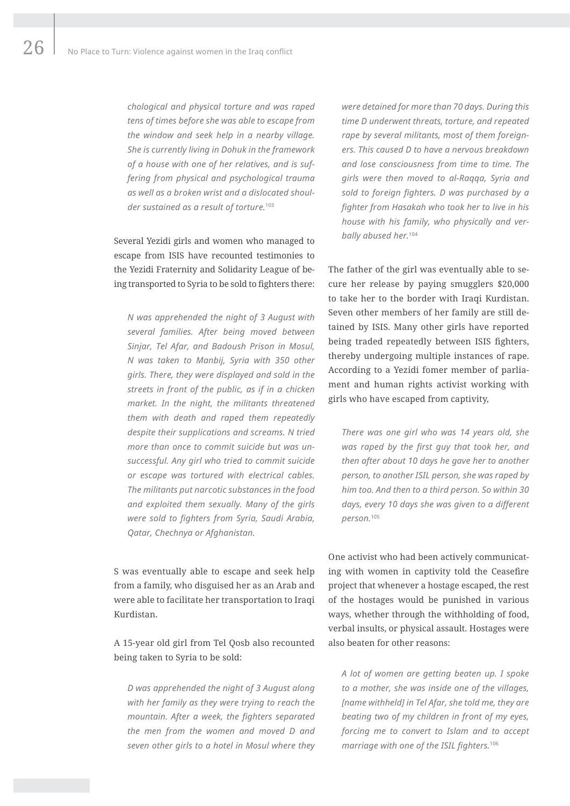*chological and physical torture and was raped tens of times before she was able to escape from the window and seek help in a nearby village. She is currently living in Dohuk in the framework of a house with one of her relatives, and is suffering from physical and psychological trauma as well as a broken wrist and a dislocated shoulder sustained as a result of torture.*<sup>103</sup>

Several Yezidi girls and women who managed to escape from ISIS have recounted testimonies to the Yezidi Fraternity and Solidarity League of being transported to Syria to be sold to fighters there:

*N was apprehended the night of 3 August with several families. After being moved between Sinjar, Tel Afar, and Badoush Prison in Mosul, N was taken to Manbij, Syria with 350 other girls. There, they were displayed and sold in the streets in front of the public, as if in a chicken market. In the night, the militants threatened them with death and raped them repeatedly despite their supplications and screams. N tried more than once to commit suicide but was unsuccessful. Any girl who tried to commit suicide or escape was tortured with electrical cables. The militants put narcotic substances in the food and exploited them sexually. Many of the girls were sold to fighters from Syria, Saudi Arabia, Qatar, Chechnya or Afghanistan.*

S was eventually able to escape and seek help from a family, who disguised her as an Arab and were able to facilitate her transportation to Iraqi Kurdistan.

A 15-year old girl from Tel Qosb also recounted being taken to Syria to be sold:

*D was apprehended the night of 3 August along with her family as they were trying to reach the mountain. After a week, the fighters separated the men from the women and moved D and seven other girls to a hotel in Mosul where they* 

*were detained for more than 70 days. During this time D underwent threats, torture, and repeated rape by several militants, most of them foreigners. This caused D to have a nervous breakdown and lose consciousness from time to time. The girls were then moved to al-Raqqa, Syria and sold to foreign fighters. D was purchased by a fighter from Hasakah who took her to live in his house with his family, who physically and verbally abused her.*<sup>104</sup>

The father of the girl was eventually able to secure her release by paying smugglers \$20,000 to take her to the border with Iraqi Kurdistan. Seven other members of her family are still detained by ISIS. Many other girls have reported being traded repeatedly between ISIS fighters, thereby undergoing multiple instances of rape. According to a Yezidi fomer member of parliament and human rights activist working with girls who have escaped from captivity,

*There was one girl who was 14 years old, she was raped by the first guy that took her, and then after about 10 days he gave her to another person, to another ISIL person, she was raped by him too. And then to a third person. So within 30 days, every 10 days she was given to a different person.*<sup>105</sup>

One activist who had been actively communicating with women in captivity told the Ceasefire project that whenever a hostage escaped, the rest of the hostages would be punished in various ways, whether through the withholding of food, verbal insults, or physical assault. Hostages were also beaten for other reasons:

*A lot of women are getting beaten up. I spoke to a mother, she was inside one of the villages, [name withheld] in Tel Afar, she told me, they are beating two of my children in front of my eyes, forcing me to convert to Islam and to accept marriage with one of the ISIL fighters.*106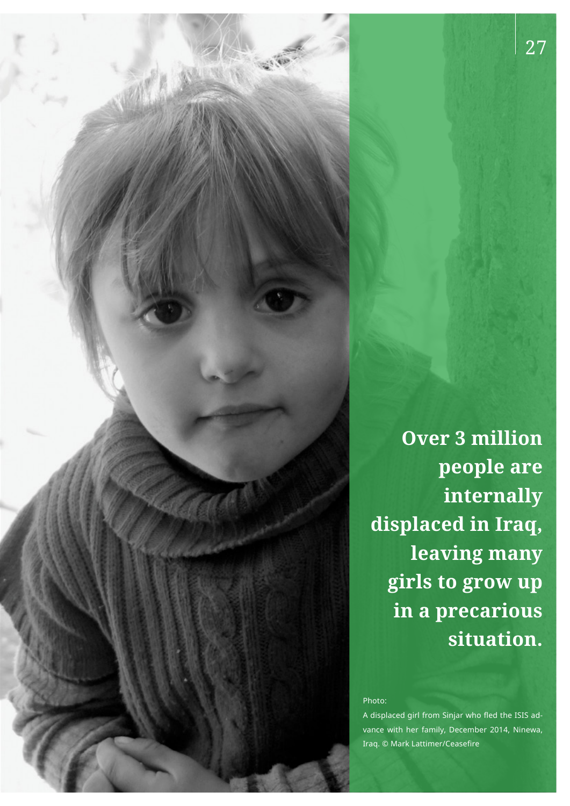**Over 3 million people are internally displaced in Iraq, leaving many girls to grow up in a precarious situation.**

#### Photo:

A displaced girl from Sinjar who fled the ISIS advance with her family, December 2014, Ninewa, Iraq. © Mark Lattimer/Ceasefire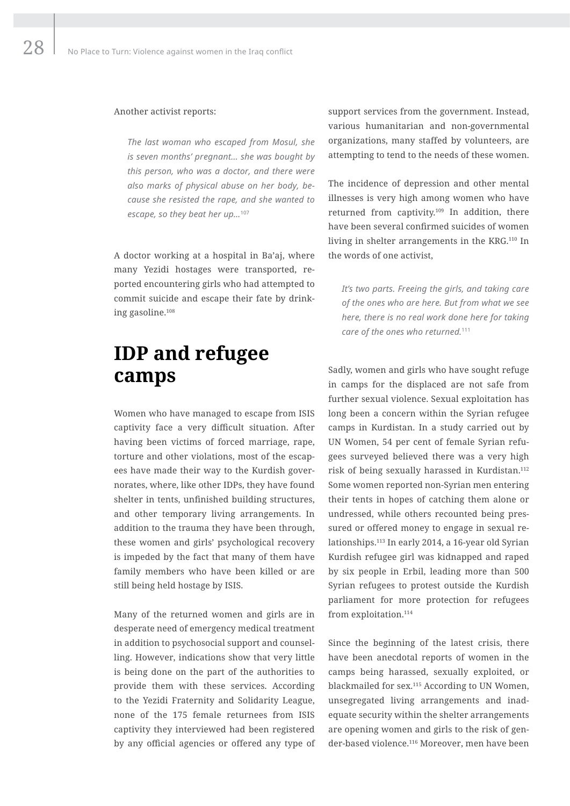#### Another activist reports:

*The last woman who escaped from Mosul, she is seven months' pregnant… she was bought by this person, who was a doctor, and there were also marks of physical abuse on her body, because she resisted the rape, and she wanted to escape, so they beat her up…*<sup>107</sup>

A doctor working at a hospital in Ba'aj, where many Yezidi hostages were transported, reported encountering girls who had attempted to commit suicide and escape their fate by drinking gasoline.108

## **IDP and refugee camps**

Women who have managed to escape from ISIS captivity face a very difficult situation. After having been victims of forced marriage, rape, torture and other violations, most of the escapees have made their way to the Kurdish governorates, where, like other IDPs, they have found shelter in tents, unfinished building structures, and other temporary living arrangements. In addition to the trauma they have been through, these women and girls' psychological recovery is impeded by the fact that many of them have family members who have been killed or are still being held hostage by ISIS.

Many of the returned women and girls are in desperate need of emergency medical treatment in addition to psychosocial support and counselling. However, indications show that very little is being done on the part of the authorities to provide them with these services. According to the Yezidi Fraternity and Solidarity League, none of the 175 female returnees from ISIS captivity they interviewed had been registered by any official agencies or offered any type of

support services from the government. Instead, various humanitarian and non-governmental organizations, many staffed by volunteers, are attempting to tend to the needs of these women.

The incidence of depression and other mental illnesses is very high among women who have returned from captivity.109 In addition, there have been several confirmed suicides of women living in shelter arrangements in the KRG.110 In the words of one activist,

*It's two parts. Freeing the girls, and taking care of the ones who are here. But from what we see here, there is no real work done here for taking care of the ones who returned.*<sup>111</sup>

Sadly, women and girls who have sought refuge in camps for the displaced are not safe from further sexual violence. Sexual exploitation has long been a concern within the Syrian refugee camps in Kurdistan. In a study carried out by UN Women, 54 per cent of female Syrian refugees surveyed believed there was a very high risk of being sexually harassed in Kurdistan.112 Some women reported non-Syrian men entering their tents in hopes of catching them alone or undressed, while others recounted being pressured or offered money to engage in sexual relationships.113 In early 2014, a 16-year old Syrian Kurdish refugee girl was kidnapped and raped by six people in Erbil, leading more than 500 Syrian refugees to protest outside the Kurdish parliament for more protection for refugees from exploitation.<sup>114</sup>

Since the beginning of the latest crisis, there have been anecdotal reports of women in the camps being harassed, sexually exploited, or blackmailed for sex.115 According to UN Women, unsegregated living arrangements and inadequate security within the shelter arrangements are opening women and girls to the risk of gender-based violence.116 Moreover, men have been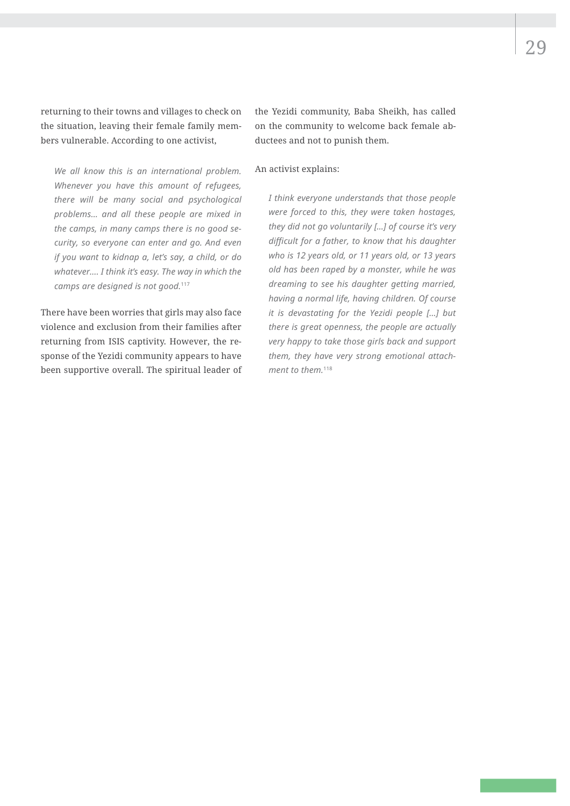returning to their towns and villages to check on the situation, leaving their female family members vulnerable. According to one activist,

*We all know this is an international problem. Whenever you have this amount of refugees, there will be many social and psychological problems… and all these people are mixed in the camps, in many camps there is no good security, so everyone can enter and go. And even if you want to kidnap a, let's say, a child, or do whatever…. I think it's easy. The way in which the camps are designed is not good.*<sup>117</sup>

There have been worries that girls may also face violence and exclusion from their families after returning from ISIS captivity. However, the response of the Yezidi community appears to have been supportive overall. The spiritual leader of

the Yezidi community, Baba Sheikh, has called on the community to welcome back female abductees and not to punish them.

#### An activist explains:

*I think everyone understands that those people were forced to this, they were taken hostages, they did not go voluntarily […] of course it's very difficult for a father, to know that his daughter who is 12 years old, or 11 years old, or 13 years old has been raped by a monster, while he was dreaming to see his daughter getting married, having a normal life, having children. Of course it is devastating for the Yezidi people […] but there is great openness, the people are actually very happy to take those girls back and support them, they have very strong emotional attachment to them.*118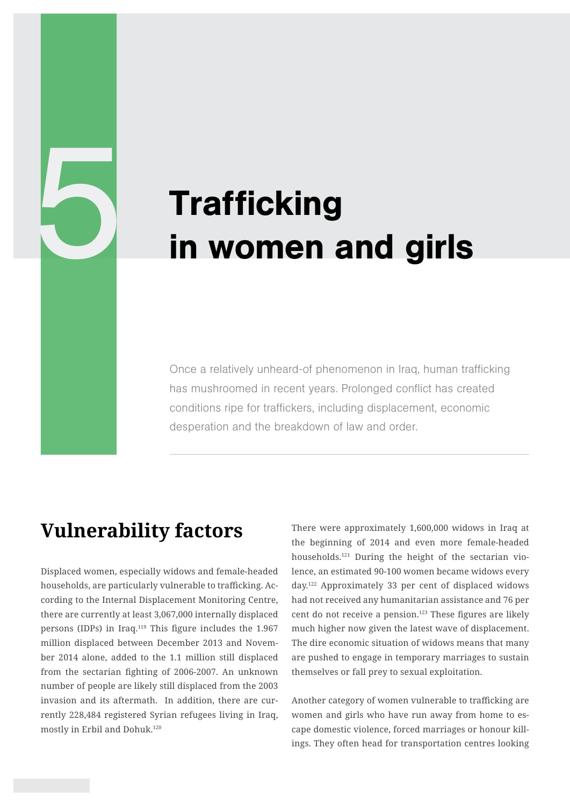# Trafficking<br>in women a in women and girls

Once a relatively unheard-of phenomenon in Iraq, human trafficking has mushroomed in recent years. Prolonged conflict has created conditions ripe for traffickers, including displacement, economic desperation and the breakdown of law and order.

## **Vulnerability factors**

Displaced women, especially widows and female-headed households, are particularly vulnerable to trafficking. According to the Internal Displacement Monitoring Centre, there are currently at least 3,067,000 internally displaced persons (IDPs) in Iraq.119 This figure includes the 1.967 million displaced between December 2013 and November 2014 alone, added to the 1.1 million still displaced from the sectarian fighting of 2006-2007. An unknown number of people are likely still displaced from the 2003 invasion and its aftermath. In addition, there are currently 228,484 registered Syrian refugees living in Iraq, mostly in Erbil and Dohuk.120

There were approximately 1,600,000 widows in Iraq at the beginning of 2014 and even more female-headed households.121 During the height of the sectarian violence, an estimated 90-100 women became widows every day.122 Approximately 33 per cent of displaced widows had not received any humanitarian assistance and 76 per cent do not receive a pension.123 These figures are likely much higher now given the latest wave of displacement. The dire economic situation of widows means that many are pushed to engage in temporary marriages to sustain themselves or fall prey to sexual exploitation.

Another category of women vulnerable to trafficking are women and girls who have run away from home to escape domestic violence, forced marriages or honour killings. They often head for transportation centres looking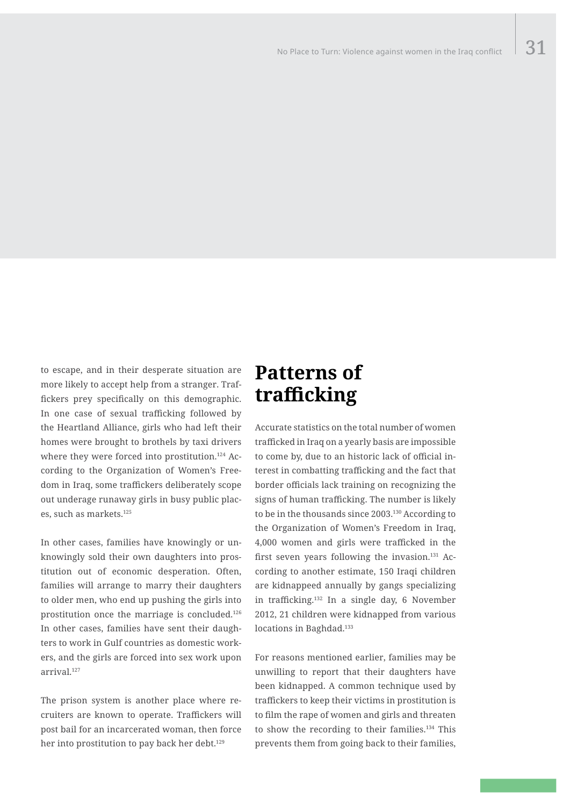to escape, and in their desperate situation are more likely to accept help from a stranger. Traffickers prey specifically on this demographic. In one case of sexual trafficking followed by the Heartland Alliance, girls who had left their homes were brought to brothels by taxi drivers where they were forced into prostitution.<sup>124</sup> According to the Organization of Women's Freedom in Iraq, some traffickers deliberately scope out underage runaway girls in busy public places, such as markets.125

In other cases, families have knowingly or unknowingly sold their own daughters into prostitution out of economic desperation. Often, families will arrange to marry their daughters to older men, who end up pushing the girls into prostitution once the marriage is concluded.126 In other cases, families have sent their daughters to work in Gulf countries as domestic workers, and the girls are forced into sex work upon arrival.127

The prison system is another place where recruiters are known to operate. Traffickers will post bail for an incarcerated woman, then force her into prostitution to pay back her debt.<sup>129</sup>

## **Patterns of trafficking**

Accurate statistics on the total number of women trafficked in Iraq on a yearly basis are impossible to come by, due to an historic lack of official interest in combatting trafficking and the fact that border officials lack training on recognizing the signs of human trafficking. The number is likely to be in the thousands since 2003.130 According to the Organization of Women's Freedom in Iraq, 4,000 women and girls were trafficked in the first seven years following the invasion.<sup>131</sup> According to another estimate, 150 Iraqi children are kidnappeed annually by gangs specializing in trafficking.132 In a single day, 6 November 2012, 21 children were kidnapped from various locations in Baghdad.<sup>133</sup>

For reasons mentioned earlier, families may be unwilling to report that their daughters have been kidnapped. A common technique used by traffickers to keep their victims in prostitution is to film the rape of women and girls and threaten to show the recording to their families.134 This prevents them from going back to their families,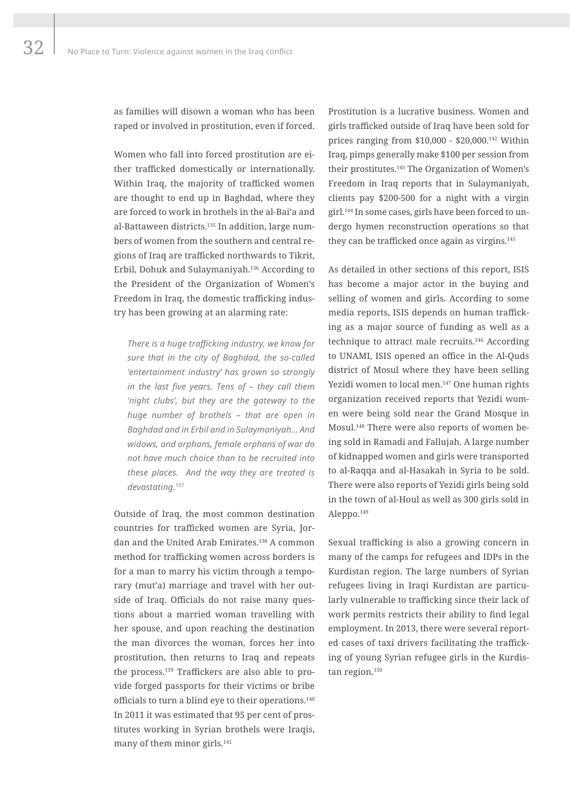as families will disown a woman who has been raped or involved in prostitution, even if forced.

Women who fall into forced prostitution are either trafficked domestically or internationally. Within Iraq, the majority of trafficked women are thought to end up in Baghdad, where they are forced to work in brothels in the al-Bai'a and al-Battaween districts.135 In addition, large numbers of women from the southern and central regions of Iraq are trafficked northwards to Tikrit, Erbil, Dohuk and Sulaymaniyah.136 According to the President of the Organization of Women's Freedom in Iraq, the domestic trafficking industry has been growing at an alarming rate:

*There is a huge trafficking industry, we know for sure that in the city of Baghdad, the so-called 'entertainment industry' has grown so strongly in the last five years. Tens of – they call them 'night clubs', but they are the gateway to the huge number of brothels – that are open in Baghdad and in Erbil and in Sulaymaniyah… And widows, and orphans, female orphans of war do not have much choice than to be recruited into these places. And the way they are treated is devastating.*<sup>137</sup>

Outside of Iraq, the most common destination countries for trafficked women are Syria, Jordan and the United Arab Emirates.138 A common method for trafficking women across borders is for a man to marry his victim through a temporary (mut'a) marriage and travel with her outside of Iraq. Officials do not raise many questions about a married woman travelling with her spouse, and upon reaching the destination the man divorces the woman, forces her into prostitution, then returns to Iraq and repeats the process.139 Traffickers are also able to provide forged passports for their victims or bribe officials to turn a blind eye to their operations.<sup>140</sup> In 2011 it was estimated that 95 per cent of prostitutes working in Syrian brothels were Iraqis, many of them minor girls.<sup>141</sup>

Prostitution is a lucrative business. Women and girls trafficked outside of Iraq have been sold for prices ranging from \$10,000 - \$20,000.142 Within Iraq, pimps generally make \$100 per session from their prostitutes.143 The Organization of Women's Freedom in Iraq reports that in Sulaymaniyah, clients pay \$200-500 for a night with a virgin girl.144 In some cases, girls have been forced to undergo hymen reconstruction operations so that they can be trafficked once again as virgins.145

As detailed in other sections of this report, ISIS has become a major actor in the buying and selling of women and girls. According to some media reports, ISIS depends on human trafficking as a major source of funding as well as a technique to attract male recruits.146 According to UNAMI, ISIS opened an office in the Al-Quds district of Mosul where they have been selling Yezidi women to local men.147 One human rights organization received reports that Yezidi women were being sold near the Grand Mosque in Mosul.148 There were also reports of women being sold in Ramadi and Fallujah. A large number of kidnapped women and girls were transported to al-Raqqa and al-Hasakah in Syria to be sold. There were also reports of Yezidi girls being sold in the town of al-Houl as well as 300 girls sold in Aleppo.149

Sexual trafficking is also a growing concern in many of the camps for refugees and IDPs in the Kurdistan region. The large numbers of Syrian refugees living in Iraqi Kurdistan are particularly vulnerable to trafficking since their lack of work permits restricts their ability to find legal employment. In 2013, there were several reported cases of taxi drivers facilitating the trafficking of young Syrian refugee girls in the Kurdistan region.<sup>150</sup>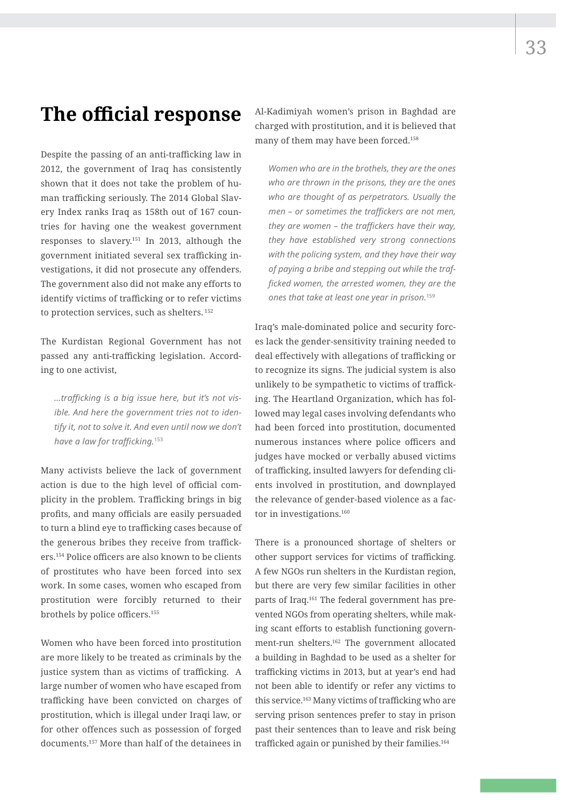## **The official response**

Despite the passing of an anti-trafficking law in 2012, the government of Iraq has consistently shown that it does not take the problem of human trafficking seriously. The 2014 Global Slavery Index ranks Iraq as 158th out of 167 countries for having one the weakest government responses to slavery.151 In 2013, although the government initiated several sex trafficking investigations, it did not prosecute any offenders. The government also did not make any efforts to identify victims of trafficking or to refer victims to protection services, such as shelters. 152

The Kurdistan Regional Government has not passed any anti-trafficking legislation. According to one activist,

*…trafficking is a big issue here, but it's not visible. And here the government tries not to identify it, not to solve it. And even until now we don't have a law for trafficking.*<sup>153</sup>

Many activists believe the lack of government action is due to the high level of official complicity in the problem. Trafficking brings in big profits, and many officials are easily persuaded to turn a blind eye to trafficking cases because of the generous bribes they receive from traffickers.154 Police officers are also known to be clients of prostitutes who have been forced into sex work. In some cases, women who escaped from prostitution were forcibly returned to their brothels by police officers.155

Women who have been forced into prostitution are more likely to be treated as criminals by the justice system than as victims of trafficking. A large number of women who have escaped from trafficking have been convicted on charges of prostitution, which is illegal under Iraqi law, or for other offences such as possession of forged documents.157 More than half of the detainees in

Al-Kadimiyah women's prison in Baghdad are charged with prostitution, and it is believed that many of them may have been forced.158

*Women who are in the brothels, they are the ones who are thrown in the prisons, they are the ones who are thought of as perpetrators. Usually the men – or sometimes the traffickers are not men, they are women – the traffickers have their way, they have established very strong connections with the policing system, and they have their way of paying a bribe and stepping out while the trafficked women, the arrested women, they are the ones that take at least one year in prison.*<sup>159</sup>

Iraq's male-dominated police and security forces lack the gender-sensitivity training needed to deal effectively with allegations of trafficking or to recognize its signs. The judicial system is also unlikely to be sympathetic to victims of trafficking. The Heartland Organization, which has followed may legal cases involving defendants who had been forced into prostitution, documented numerous instances where police officers and judges have mocked or verbally abused victims of trafficking, insulted lawyers for defending clients involved in prostitution, and downplayed the relevance of gender-based violence as a factor in investigations.<sup>160</sup>

There is a pronounced shortage of shelters or other support services for victims of trafficking. A few NGOs run shelters in the Kurdistan region, but there are very few similar facilities in other parts of Iraq.161 The federal government has prevented NGOs from operating shelters, while making scant efforts to establish functioning government-run shelters.162 The government allocated a building in Baghdad to be used as a shelter for trafficking victims in 2013, but at year's end had not been able to identify or refer any victims to this service.163 Many victims of trafficking who are serving prison sentences prefer to stay in prison past their sentences than to leave and risk being trafficked again or punished by their families.164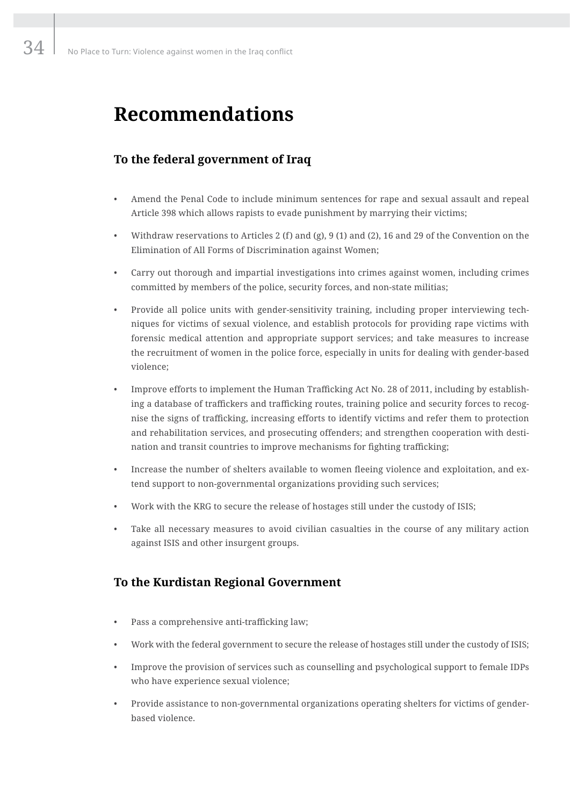## **Recommendations**

## **To the federal government of Iraq**

- Amend the Penal Code to include minimum sentences for rape and sexual assault and repeal Article 398 which allows rapists to evade punishment by marrying their victims;
- Withdraw reservations to Articles 2 (f) and (g), 9 (1) and (2), 16 and 29 of the Convention on the Elimination of All Forms of Discrimination against Women;
- Carry out thorough and impartial investigations into crimes against women, including crimes committed by members of the police, security forces, and non-state militias;
- Provide all police units with gender-sensitivity training, including proper interviewing techniques for victims of sexual violence, and establish protocols for providing rape victims with forensic medical attention and appropriate support services; and take measures to increase the recruitment of women in the police force, especially in units for dealing with gender-based violence;
- Improve efforts to implement the Human Trafficking Act No. 28 of 2011, including by establishing a database of traffickers and trafficking routes, training police and security forces to recognise the signs of trafficking, increasing efforts to identify victims and refer them to protection and rehabilitation services, and prosecuting offenders; and strengthen cooperation with destination and transit countries to improve mechanisms for fighting trafficking;
- Increase the number of shelters available to women fleeing violence and exploitation, and extend support to non-governmental organizations providing such services;
- Work with the KRG to secure the release of hostages still under the custody of ISIS;
- Take all necessary measures to avoid civilian casualties in the course of any military action against ISIS and other insurgent groups.

## **To the Kurdistan Regional Government**

- Pass a comprehensive anti-trafficking law;
- Work with the federal government to secure the release of hostages still under the custody of ISIS;
- Improve the provision of services such as counselling and psychological support to female IDPs who have experience sexual violence;
- Provide assistance to non-governmental organizations operating shelters for victims of genderbased violence.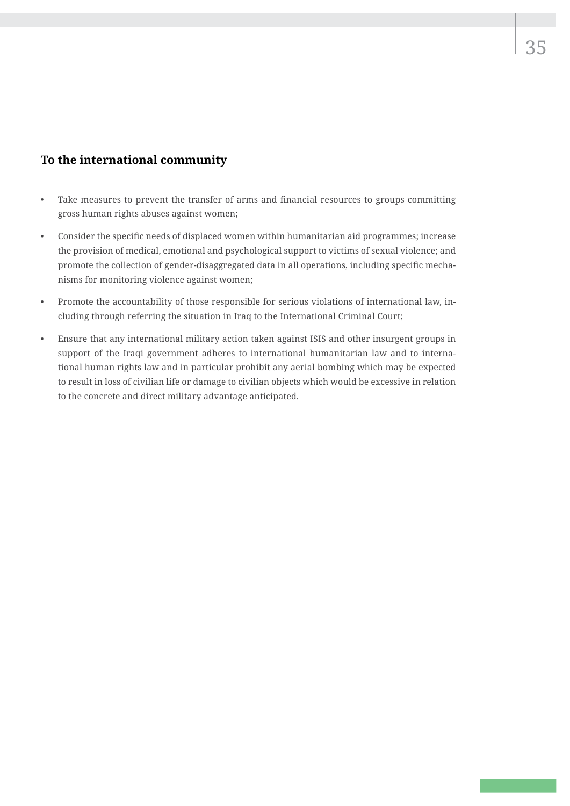## **To the international community**

- Take measures to prevent the transfer of arms and financial resources to groups committing gross human rights abuses against women;
- Consider the specific needs of displaced women within humanitarian aid programmes; increase the provision of medical, emotional and psychological support to victims of sexual violence; and promote the collection of gender-disaggregated data in all operations, including specific mechanisms for monitoring violence against women;
- Promote the accountability of those responsible for serious violations of international law, including through referring the situation in Iraq to the International Criminal Court;
- Ensure that any international military action taken against ISIS and other insurgent groups in support of the Iraqi government adheres to international humanitarian law and to international human rights law and in particular prohibit any aerial bombing which may be expected to result in loss of civilian life or damage to civilian objects which would be excessive in relation to the concrete and direct military advantage anticipated.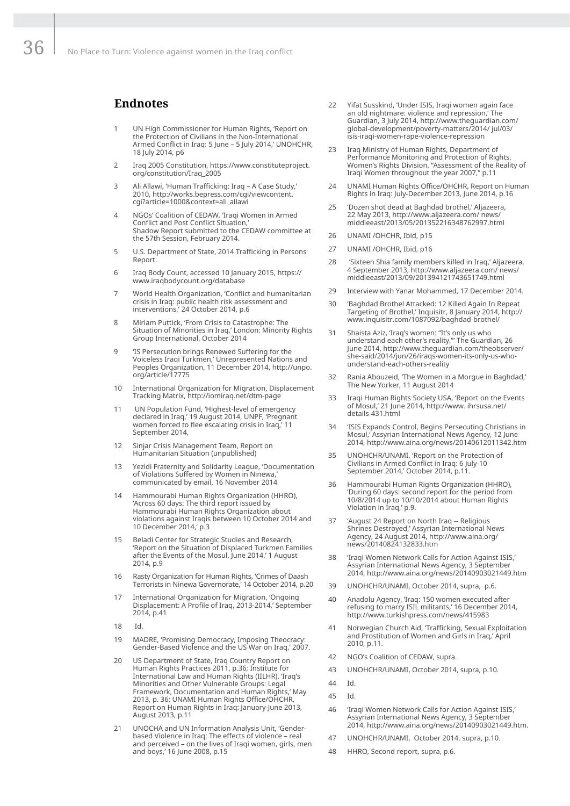### **Endnotes**

- 1 UN High Commissioner for Human Rights, 'Report on the Protection of Civilians in the Non-International Armed Conflict in Iraq: 5 June – 5 July 2014,' UNOHCHR, 18 July 2014, p6
- 2 Iraq 2005 Constitution, https://www.constituteproject. org/constitution/Iraq\_2005
- 3 Ali Allawi, 'Human Trafficking: Iraq A Case Study,' 2010, http://works.bepress.com/cgi/viewcontent. cgi?article=1000&context=ali\_allawi
- 4 NGOs' Coalition of CEDAW, 'Iraqi Women in Armed Conflict and Post Conflict Situation,' Shadow Report submitted to the CEDAW committee at the 57th Session, February 2014.
- 5 U.S. Department of State, 2014 Trafficking in Persons Report.
- 6 Iraq Body Count, accessed 10 January 2015, https:// www.iraqbodycount.org/database
- 7 World Health Organization, 'Conflict and humanitarian crisis in Iraq: public health risk assessment and interventions,' 24 October 2014, p.6
- 8 Miriam Puttick, 'From Crisis to Catastrophe: The Situation of Minorities in Iraq,' London: Minority Rights Group International, October 2014
- 9 'IS Persecution brings Renewed Suffering for the Voiceless Iraqi Turkmen,' Unrepresented Nations and Peoples Organization, 11 December 2014, http://unpo. org/article/17775
- 10 International Organization for Migration, Displacement Tracking Matrix, http://iomiraq.net/dtm-page
- 11 UN Population Fund, 'Highest-level of emergency declared in Iraq,' 19 August 2014, UNPF, 'Pregnant women forced to flee escalating crisis in Iraq,' 11 September 2014,
- 12 Sinjar Crisis Management Team, Report on Humanitarian Situation (unpublished)
- 13 Yezidi Fraternity and Solidarity League, 'Documentation of Violations Suffered by Women in Ninewa,' communicated by email, 16 November 2014
- 14 Hammourabi Human Rights Organization (HHRO), 'Across 60 days: The third report issued by Hammourabi Human Rights Organization about violations against Iraqis between 10 October 2014 and 10 December 2014,' p.3
- 15 Beladi Center for Strategic Studies and Research, 'Report on the Situation of Displaced Turkmen Families after the Events of the Mosul, June 2014,' 1 August 2014, p.9
- 16 Rasty Organization for Human Rights, 'Crimes of Daash Terrorists in Ninewa Governorate,' 14 October 2014, p.20
- 17 International Organization for Migration, 'Ongoing Displacement: A Profile of Iraq, 2013-2014,' September 2014, p.41
- 18 Id.
- 19 MADRE, 'Promising Democracy, Imposing Theocracy: Gender-Based Violence and the US War on Iraq,' 2007.
- 20 US Department of State, Iraq Country Report on Human Rights Practices 2011, p.36; Institute for International Law and Human Rights (IILHR), 'Iraq's Minorities and Other Vulnerable Groups: Legal Framework, Documentation and Human Rights,' May 2013, p. 36; UNAMI Human Rights Office/OHCHR, Report on Human Rights in Iraq: January-June 2013, August 2013, p.11
- 21 UNOCHA and UN Information Analysis Unit, 'Genderbased Violence in Iraq: The effects of violence – real and perceived – on the lives of Iraqi women, girls, men and boys,' 16 June 2008, p.15
- 22 Yifat Susskind, 'Under ISIS, Iraqi women again face an old nightmare: violence and repression,' The Guardian, 3 July 2014, http://www.theguardian.com/ global-development/poverty-matters/2014/ jul/03/ isis-iraqi-women-rape-violence-repression
- 23 Iraq Ministry of Human Rights, Department of Performance Monitoring and Protection of Rights, Women's Rights Division, "Assessment of the Reality of Iraqi Women throughout the year 2007," p.11
- 24 UNAMI Human Rights Office/OHCHR, Report on Human Rights in Iraq: July-December 2013, June 2014, p.16
- 25 'Dozen shot dead at Baghdad brothel,' Aljazeera, 22 May 2013, http://www.aljazeera.com/ news/ middleeast/2013/05/201352216348762997.html
- 26 UNAMI /OHCHR, Ibid, p15
- 27 UNAMI /OHCHR, Ibid, p16
- 28 'Sixteen Shia family members killed in Iraq,' Aljazeera, 4 September 2013, http://www.aljazeera.com/ news/ middleeast/2013/09/201394121743651749.html
- 29 Interview with Yanar Mohammed, 17 December 2014
- 30 'Baghdad Brothel Attacked: 12 Killed Again In Repeat Targeting of Brothel,' Inquisitr, 8 January 2014, http:// www.inquisitr.com/1087092/baghdad-brothel/
- 31 Shaista Aziz, 'Iraq's women: "It's only us who understand each other's reality,"' The Guardian, 26 June 2014, http://www.theguardian.com/theobserver/ she-said/2014/jun/26/iraqs-women-its-only-us-whounderstand-each-others-reality
- 32 Rania Abouzeid, 'The Women in a Morgue in Baghdad,' The New Yorker, 11 August 2014
- 33 Iraqi Human Rights Society USA, 'Report on the Events of Mosul,' 21 June 2014, http://www. ihrsusa.net/ details-431.html
- 34 'ISIS Expands Control, Begins Persecuting Christians in Mosul,' Assyrian International News Agency, 12 June 2014, http://www.aina.org/news/20140612011342.htm
- 35 UNOHCHR/UNAMI, 'Report on the Protection of Civilians in Armed Conflict in Iraq: 6 July-10 September 2014,' October 2014, p.11.
- 36 Hammourabi Human Rights Organization (HHRO), 'During 60 days: second report for the period from 10/8/2014 up to 10/10/2014 about Human Rights Violation in Iraq,' p.9.
- 37 'August 24 Report on North Iraq -- Religious Shrines Destroyed,' Assyrian International News Agency, 24 August 2014, http://www.aina.org/ news/20140824132833.htm
- 38 'Iraqi Women Network Calls for Action Against ISIS,' Assyrian International News Agency, 3 September 2014, http://www.aina.org/news/20140903021449.htm
- 39 UNOHCHR/UNAMI, October 2014, supra, p.6.
- 40 Anadolu Agency, 'Iraq: 150 women executed after refusing to marry ISIL militants,' 16 December 2014, http://www.turkishpress.com/news/415983
- 41 Norwegian Church Aid, 'Trafficking, Sexual Exploitation and Prostitution of Women and Girls in Iraq,' April 2010, p.11.
- 42 NGO's Coalition of CEDAW, supra.
- 43 UNOHCHR/UNAMI, October 2014, supra, p.10.
- 44 Id.
- 45 Id.
- 46 'Iraqi Women Network Calls for Action Against ISIS,' Assyrian International News Agency, 3 September 2014, http://www.aina.org/news/20140903021449.htm.
- 47 UNOHCHR/UNAMI, October 2014, supra, p.10.
- 48 HHRO, Second report, supra, p.6.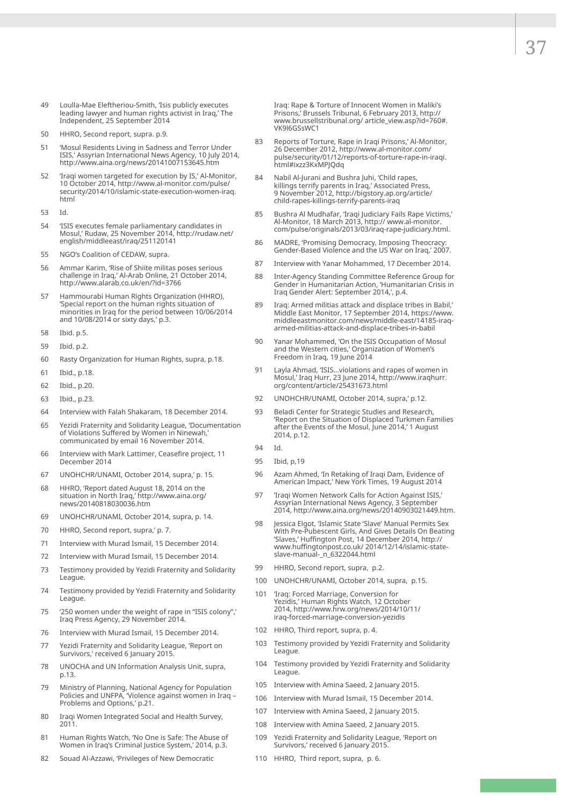- 49 Loulla-Mae Eleftheriou-Smith, 'Isis publicly executes leading lawyer and human rights activist in Iraq,' The Independent, 25 September 2014
- 50 HHRO, Second report, supra. p.9.
- 51 'Mosul Residents Living in Sadness and Terror Under ISIS,' Assyrian International News Agency, 10 July 2014, http://www.aina.org/news/20141007153645.htm
- 52 'Iraqi women targeted for execution by IS,' Al-Monitor, 10 October 2014, http://www.al-monitor.com/pulse/ security/2014/10/islamic-state-execution-women-iraq. html
- 53 Id.
- 54 'ISIS executes female parliamentary candidates in Mosul,' Rudaw, 25 November 2014, http://rudaw.net/ english/middleeast/iraq/251120141
- 55 NGO's Coalition of CEDAW, supra.
- 56 Ammar Karim, 'Rise of Shiite militas poses serious challenge in Iraq,' Al-Arab Online, 21 October 2014, http://www.alarab.co.uk/en/?id=3766
- 57 Hammourabi Human Rights Organization (HHRO), 'Special report on the human rights situation of minorities in Iraq for the period between 10/06/2014 and 10/08/2014 or sixty days,' p.3.
- 58 Ibid. p.5.
- 59 Ibid. p.2.
- 60 Rasty Organization for Human Rights, supra, p.18.
- 61 Ibid., p.18.
- 62 Ibid., p.20.
- 63 Ibid., p.23.
- 64 Interview with Falah Shakaram, 18 December 2014.
- 65 Yezidi Fraternity and Solidarity League, 'Documentation of Violations Suffered by Women in Ninewah,' communicated by email 16 November 2014.
- 66 Interview with Mark Lattimer, Ceasefire project, 11 December 2014
- 67 UNOHCHR/UNAMI, October 2014, supra,' p. 15.
- 68 HHRO, 'Report dated August 18, 2014 on the situation in North Iraq,' http://www.aina.org/ news/20140818030036.htm
- 69 UNOHCHR/UNAMI, October 2014, supra, p. 14.
- 70 HHRO, Second report, supra,' p. 7.
- 71 Interview with Murad Ismail, 15 December 2014.
- 72 Interview with Murad Ismail, 15 December 2014.
- 73 Testimony provided by Yezidi Fraternity and Solidarity League.
- 74 Testimony provided by Yezidi Fraternity and Solidarity League.
- 75 '250 women under the weight of rape in "ISIS colony",' Iraq Press Agency, 29 November 2014.
- 76 Interview with Murad Ismail, 15 December 2014.
- 77 Yezidi Fraternity and Solidarity League, 'Report on Survivors,' received 6 January 2015.
- 78 UNOCHA and UN Information Analysis Unit, supra, p.13.
- 79 Ministry of Planning, National Agency for Population Policies and UNFPA, 'Violence against women in Iraq – Problems and Options,' p.21.
- 80 Iraqi Women Integrated Social and Health Survey, 2011.
- 81 Human Rights Watch, 'No One is Safe: The Abuse of Women in Iraq's Criminal Justice System,' 2014, p.3.
- 82 Souad Al-Azzawi, 'Privileges of New Democratic

Iraq: Rape & Torture of Innocent Women in Maliki's Prisons,' Brussels Tribunal, 6 February 2013, http:// www.brussellstribunal.org/ article\_view.asp?id=760#. VK9l6GSsWC1

- 83 Reports of Torture, Rape in Iraqi Prisons,' Al-Monitor, 26 December 2012, http://www.al-monitor.com/ pulse/security/01/12/reports-of-torture-rape-in-iraqi. html#ixzz3KxMPJQdq
- 84 Nabil Al-Jurani and Bushra Juhi, 'Child rapes, killings terrify parents in Iraq,' Associated Press, 9 November 2012, http://bigstory.ap.org/article/ child-rapes-killings-terrify-parents-iraq
- 85 Bushra Al Mudhafar, 'Iraqi Judiciary Fails Rape Victims,' Al-Monitor, 18 March 2013, http:// www.al-monitor. com/pulse/originals/2013/03/iraq-rape-judiciary.html.
- 86 MADRE, 'Promising Democracy, Imposing Theocracy: Gender-Based Violence and the US War on Iraq,' 2007.
- 87 Interview with Yanar Mohammed, 17 December 2014.
- 88 Inter-Agency Standing Committee Reference Group for Gender in Humanitarian Action, 'Humanitarian Crisis in Iraq Gender Alert: September 2014,', p.4.
- 89 Iraq: Armed militias attack and displace tribes in Babil,' Middle East Monitor, 17 September 2014, https://www. middleeastmonitor.com/news/middle-east/14185-iraqarmed-militias-attack-and-displace-tribes-in-babil
- 90 Yanar Mohammed, 'On the ISIS Occupation of Mosul and the Western cities,' Organization of Women's Freedom in Iraq, 19 June 2014
- 91 Layla Ahmad, 'ISIS…violations and rapes of women in Mosul,' Iraq Hurr, 23 June 2014, http://www.iraqhurr. org/content/article/25431673.html
- 92 UNOHCHR/UNAMI, October 2014, supra,' p.12.
- 93 Beladi Center for Strategic Studies and Research, 'Report on the Situation of Displaced Turkmen Families after the Events of the Mosul, June 2014,' 1 August 2014, p.12.
- 94 Id.
- 95 Ibid, p,19
- 96 Azam Ahmed, 'In Retaking of Iraqi Dam, Evidence of American Impact,' New York Times, 19 August 2014
- 97 Traqi Women Network Calls for Action Against ISIS. Assyrian International News Agency, 3 September 2014, http://www.aina.org/news/20140903021449.htm.
- 98 Jessica Elgot, 'Islamic State 'Slave' Manual Permits Sex With Pre-Pubescent Girls, And Gives Details On Beating 'Slaves,' Huffington Post, 14 December 2014, http:// www.huffingtonpost.co.uk/ 2014/12/14/islamic-stateslave-manual-\_n\_6322044.html
- 99 HHRO, Second report, supra, p.2.
- 100 UNOHCHR/UNAMI, October 2014, supra, p.15.
- 101 'Iraq: Forced Marriage, Conversion for Yezidis,' Human Rights Watch, 12 October 2014, http://www.hrw.org/news/2014/10/11/ iraq-forced-marriage-conversion-yezidis
- 102 HHRO, Third report, supra, p. 4.
- 103 Testimony provided by Yezidi Fraternity and Solidarity League.
- 104 Testimony provided by Yezidi Fraternity and Solidarity League.
- 105 Interview with Amina Saeed, 2 January 2015.
- 106 Interview with Murad Ismail, 15 December 2014.
- 107 Interview with Amina Saeed, 2 January 2015.
- 108 Interview with Amina Saeed, 2 January 2015.
- 109 Yezidi Fraternity and Solidarity League, 'Report on Survivors,' received 6 January 2015.
- 110 HHRO, Third report, supra, p. 6.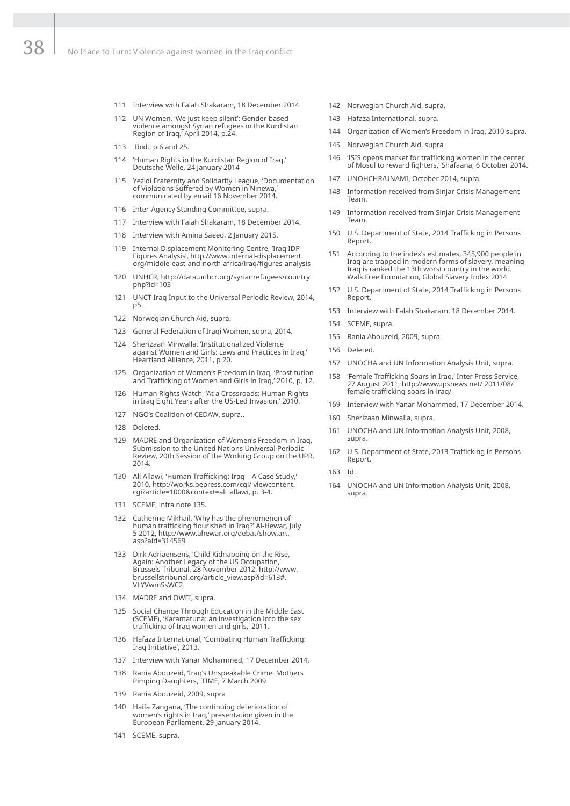- 111 Interview with Falah Shakaram, 18 December 2014.
- 112 UN Women, 'We just keep silent': Gender-based violence amongst Syrian refugees in the Kurdistan Region of Iraq,' April 2014, p.24.
- 113 Ibid., p.6 and 25.
- 114 'Human Rights in the Kurdistan Region of Iraq,' Deutsche Welle, 24 January 2014
- 115 Yezidi Fraternity and Solidarity League, 'Documentation of Violations Suffered by Women in Ninewa,' communicated by email 16 November 2014.
- 116 Inter-Agency Standing Committee, supra.
- 117 Interview with Falah Shakaram, 18 December 2014.
- 118 Interview with Amina Saeed, 2 January 2015.
- 119 Internal Displacement Monitoring Centre, 'Iraq IDP Figures Analysis', http://www.internal-displacement. org/middle-east-and-north-africa/iraq/figures-analysis
- 120 UNHCR, http://data.unhcr.org/syrianrefugees/country. php?id=103
- 121 UNCT Iraq Input to the Universal Periodic Review, 2014, p5.
- 122 Norwegian Church Aid, supra.
- 123 General Federation of Iraqi Women, supra, 2014.
- 124 Sherizaan Minwalla, 'Institutionalized Violence against Women and Girls: Laws and Practices in Iraq,' Heartland Alliance, 2011, p 20.
- 125 Organization of Women's Freedom in Iraq, 'Prostitution and Trafficking of Women and Girls in Iraq,' 2010, p. 12.
- 126 Human Rights Watch, 'At a Crossroads: Human Rights in Iraq Eight Years after the US-Led Invasion,' 2010.
- 127 NGO's Coalition of CEDAW, supra..
- 128 Deleted.
- 129 MADRE and Organization of Women's Freedom in Iraq, Submission to the United Nations Universal Periodic Review, 20th Session of the Working Group on the UPR, 2014.
- 130 Ali Allawi, 'Human Trafficking: Iraq A Case Study,' 2010, http://works.bepress.com/cgi/ viewcontent. cgi?article=1000&context=ali\_allawi, p. 3-4.
- 131 SCEME, infra note 135.
- 132 Catherine Mikhail, 'Why has the phenomenon of human trafficking flourished in Iraq?' Al-Hewar, July 5 2012, http://www.ahewar.org/debat/show.art. asp?aid=314569
- 133 Dirk Adriaensens, 'Child Kidnapping on the Rise, Again: Another Legacy of the US Occupation,' Brussels Tribunal, 28 November 2012, http://www. brussellstribunal.org/article\_view.asp?id=613#. VLYVwmSsWC2
- 134 MADRE and OWFI, supra.
- 135 Social Change Through Education in the Middle East (SCEME), 'Karamatuna: an investigation into the sex trafficking of Iraq women and girls,' 2011.
- 136 Hafaza International, 'Combating Human Trafficking: Iraq Initiative', 2013.
- 137 Interview with Yanar Mohammed, 17 December 2014.
- 138 Rania Abouzeid, 'Iraq's Unspeakable Crime: Mothers Pimping Daughters,' TIME, 7 March 2009
- 139 Rania Abouzeid, 2009, supra
- 140 Haifa Zangana, 'The continuing deterioration of women's rights in Iraq,' presentation given in the European Parliament, 29 January 2014.
- 141 SCEME, supra.
- 142 Norwegian Church Aid, supra.
- 143 Hafaza International, supra.
- 144 Organization of Women's Freedom in Iraq, 2010 supra.
- 145 Norwegian Church Aid, supra
- 146 'ISIS opens market for trafficking women in the center of Mosul to reward fighters,' Shafaana, 6 October 2014.
- 147 UNOHCHR/UNAMI, October 2014, supra.
- 148 Information received from Sinjar Crisis Management Team.
- 149 Information received from Sinjar Crisis Management Team.
- 150 U.S. Department of State, 2014 Trafficking in Persons Report.
- 151 According to the index's estimates, 345,900 people in Iraq are trapped in modern forms of slavery, meaning Iraq is ranked the 13th worst country in the world. Walk Free Foundation, Global Slavery Index 2014
- 152 U.S. Department of State, 2014 Trafficking in Persons Report.
- 153 Interview with Falah Shakaram, 18 December 2014.
- 154 SCEME, supra.
- 155 Rania Abouzeid, 2009, supra.
- 156 Deleted.
- 157 UNOCHA and UN Information Analysis Unit, supra.
- 158 'Female Trafficking Soars in Iraq,' Inter Press Service, 27 August 2011, http://www.ipsnews.net/ 2011/08/ female-trafficking-soars-in-iraq/
- 159 Interview with Yanar Mohammed, 17 December 2014.
- 160 Sherizaan Minwalla, supra.
- 161 UNOCHA and UN Information Analysis Unit, 2008, supra.
- 162 U.S. Department of State, 2013 Trafficking in Persons Report.
- 163 Id.
- 164 UNOCHA and UN Information Analysis Unit, 2008, supra.